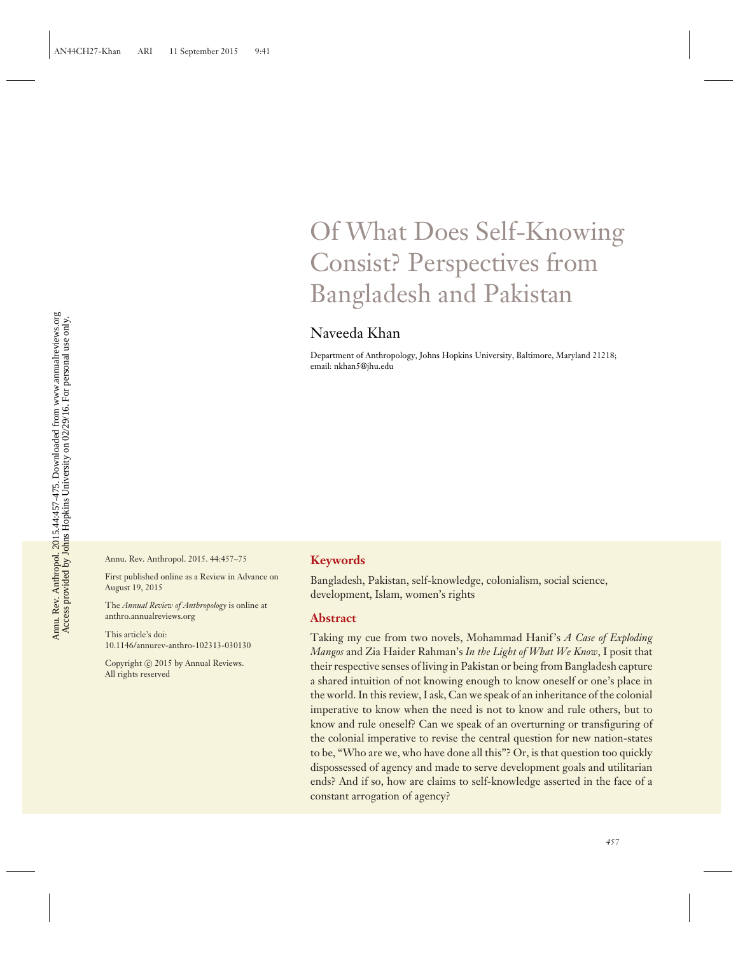# Of What Does Self-Knowing Consist? Perspectives from Bangladesh and Pakistan

## Naveeda Khan

Department of Anthropology, Johns Hopkins University, Baltimore, Maryland 21218; email: nkhan5@jhu.edu

Annu. Rev. Anthropol. 2015. 44:457–75

First published online as a Review in Advance on August 19, 2015

The *Annual Review of Anthropology* is online at anthro.annualreviews.org

This article's doi: 10.1146/annurev-anthro-102313-030130

Copyright © 2015 by Annual Reviews. All rights reserved

#### **Keywords**

Bangladesh, Pakistan, self-knowledge, colonialism, social science, development, Islam, women's rights

#### **Abstract**

Taking my cue from two novels, Mohammad Hanif's *A Case of Exploding Mangos* and Zia Haider Rahman's *In the Light of What We Know*, I posit that their respective senses of living in Pakistan or being from Bangladesh capture a shared intuition of not knowing enough to know oneself or one's place in the world. In this review, I ask, Can we speak of an inheritance of the colonial imperative to know when the need is not to know and rule others, but to know and rule oneself? Can we speak of an overturning or transfiguring of the colonial imperative to revise the central question for new nation-states to be, "Who are we, who have done all this"? Or, is that question too quickly dispossessed of agency and made to serve development goals and utilitarian ends? And if so, how are claims to self-knowledge asserted in the face of a constant arrogation of agency?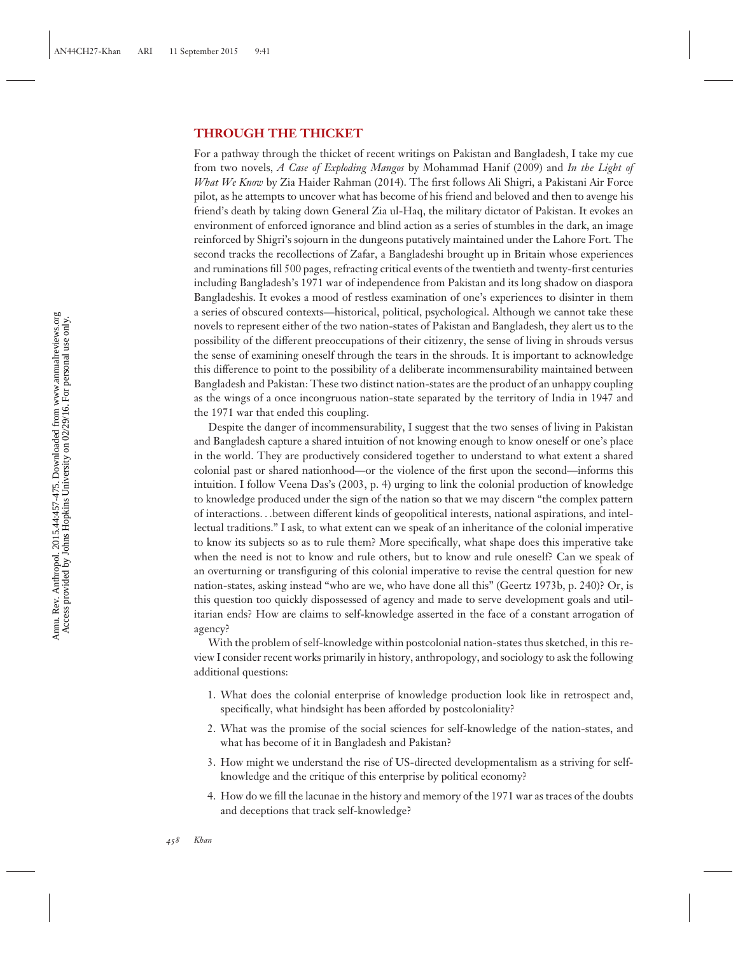#### **THROUGH THE THICKET**

For a pathway through the thicket of recent writings on Pakistan and Bangladesh, I take my cue from two novels, *A Case of Exploding Mangos* by Mohammad Hanif (2009) and *In the Light of What We Know* by Zia Haider Rahman (2014). The first follows Ali Shigri, a Pakistani Air Force pilot, as he attempts to uncover what has become of his friend and beloved and then to avenge his friend's death by taking down General Zia ul-Haq, the military dictator of Pakistan. It evokes an environment of enforced ignorance and blind action as a series of stumbles in the dark, an image reinforced by Shigri's sojourn in the dungeons putatively maintained under the Lahore Fort. The second tracks the recollections of Zafar, a Bangladeshi brought up in Britain whose experiences and ruminations fill 500 pages, refracting critical events of the twentieth and twenty-first centuries including Bangladesh's 1971 war of independence from Pakistan and its long shadow on diaspora Bangladeshis. It evokes a mood of restless examination of one's experiences to disinter in them a series of obscured contexts—historical, political, psychological. Although we cannot take these novels to represent either of the two nation-states of Pakistan and Bangladesh, they alert us to the possibility of the different preoccupations of their citizenry, the sense of living in shrouds versus the sense of examining oneself through the tears in the shrouds. It is important to acknowledge this difference to point to the possibility of a deliberate incommensurability maintained between Bangladesh and Pakistan: These two distinct nation-states are the product of an unhappy coupling as the wings of a once incongruous nation-state separated by the territory of India in 1947 and the 1971 war that ended this coupling.

Despite the danger of incommensurability, I suggest that the two senses of living in Pakistan and Bangladesh capture a shared intuition of not knowing enough to know oneself or one's place in the world. They are productively considered together to understand to what extent a shared colonial past or shared nationhood—or the violence of the first upon the second—informs this intuition. I follow Veena Das's (2003, p. 4) urging to link the colonial production of knowledge to knowledge produced under the sign of the nation so that we may discern "the complex pattern of interactions*...*between different kinds of geopolitical interests, national aspirations, and intellectual traditions." I ask, to what extent can we speak of an inheritance of the colonial imperative to know its subjects so as to rule them? More specifically, what shape does this imperative take when the need is not to know and rule others, but to know and rule oneself? Can we speak of an overturning or transfiguring of this colonial imperative to revise the central question for new nation-states, asking instead "who are we, who have done all this" (Geertz 1973b, p. 240)? Or, is this question too quickly dispossessed of agency and made to serve development goals and utilitarian ends? How are claims to self-knowledge asserted in the face of a constant arrogation of agency?

With the problem of self-knowledge within postcolonial nation-states thus sketched, in this review I consider recent works primarily in history, anthropology, and sociology to ask the following additional questions:

- 1. What does the colonial enterprise of knowledge production look like in retrospect and, specifically, what hindsight has been afforded by postcoloniality?
- 2. What was the promise of the social sciences for self-knowledge of the nation-states, and what has become of it in Bangladesh and Pakistan?
- 3. How might we understand the rise of US-directed developmentalism as a striving for selfknowledge and the critique of this enterprise by political economy?
- 4. How do we fill the lacunae in the history and memory of the 1971 war as traces of the doubts and deceptions that track self-knowledge?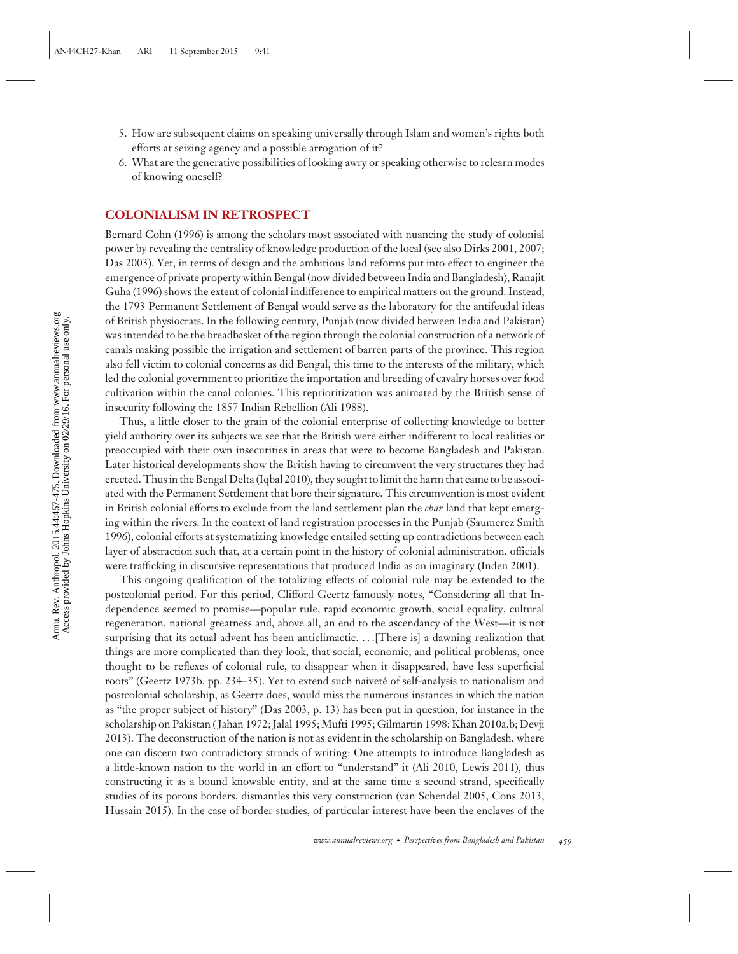- 5. How are subsequent claims on speaking universally through Islam and women's rights both efforts at seizing agency and a possible arrogation of it?
- 6. What are the generative possibilities of looking awry or speaking otherwise to relearn modes of knowing oneself?

#### **COLONIALISM IN RETROSPECT**

Bernard Cohn (1996) is among the scholars most associated with nuancing the study of colonial power by revealing the centrality of knowledge production of the local (see also Dirks 2001, 2007; Das 2003). Yet, in terms of design and the ambitious land reforms put into effect to engineer the emergence of private property within Bengal (now divided between India and Bangladesh), Ranajit Guha (1996) shows the extent of colonial indifference to empirical matters on the ground. Instead, the 1793 Permanent Settlement of Bengal would serve as the laboratory for the antifeudal ideas of British physiocrats. In the following century, Punjab (now divided between India and Pakistan) was intended to be the breadbasket of the region through the colonial construction of a network of canals making possible the irrigation and settlement of barren parts of the province. This region also fell victim to colonial concerns as did Bengal, this time to the interests of the military, which led the colonial government to prioritize the importation and breeding of cavalry horses over food cultivation within the canal colonies. This reprioritization was animated by the British sense of insecurity following the 1857 Indian Rebellion (Ali 1988).

Thus, a little closer to the grain of the colonial enterprise of collecting knowledge to better yield authority over its subjects we see that the British were either indifferent to local realities or preoccupied with their own insecurities in areas that were to become Bangladesh and Pakistan. Later historical developments show the British having to circumvent the very structures they had erected. Thus in the Bengal Delta (Iqbal 2010), they sought to limit the harm that came to be associated with the Permanent Settlement that bore their signature. This circumvention is most evident in British colonial efforts to exclude from the land settlement plan the *char* land that kept emerging within the rivers. In the context of land registration processes in the Punjab (Saumerez Smith 1996), colonial efforts at systematizing knowledge entailed setting up contradictions between each layer of abstraction such that, at a certain point in the history of colonial administration, officials were trafficking in discursive representations that produced India as an imaginary (Inden 2001).

This ongoing qualification of the totalizing effects of colonial rule may be extended to the postcolonial period. For this period, Clifford Geertz famously notes, "Considering all that Independence seemed to promise—popular rule, rapid economic growth, social equality, cultural regeneration, national greatness and, above all, an end to the ascendancy of the West—it is not surprising that its actual advent has been anticlimactic. *...*[There is] a dawning realization that things are more complicated than they look, that social, economic, and political problems, once thought to be reflexes of colonial rule, to disappear when it disappeared, have less superficial roots" (Geertz 1973b, pp. 234–35). Yet to extend such naivete of self-analysis to nationalism and ´ postcolonial scholarship, as Geertz does, would miss the numerous instances in which the nation as "the proper subject of history" (Das 2003, p. 13) has been put in question, for instance in the scholarship on Pakistan ( Jahan 1972; Jalal 1995; Mufti 1995; Gilmartin 1998; Khan 2010a,b; Devji 2013). The deconstruction of the nation is not as evident in the scholarship on Bangladesh, where one can discern two contradictory strands of writing: One attempts to introduce Bangladesh as a little-known nation to the world in an effort to "understand" it (Ali 2010, Lewis 2011), thus constructing it as a bound knowable entity, and at the same time a second strand, specifically studies of its porous borders, dismantles this very construction (van Schendel 2005, Cons 2013, Hussain 2015). In the case of border studies, of particular interest have been the enclaves of the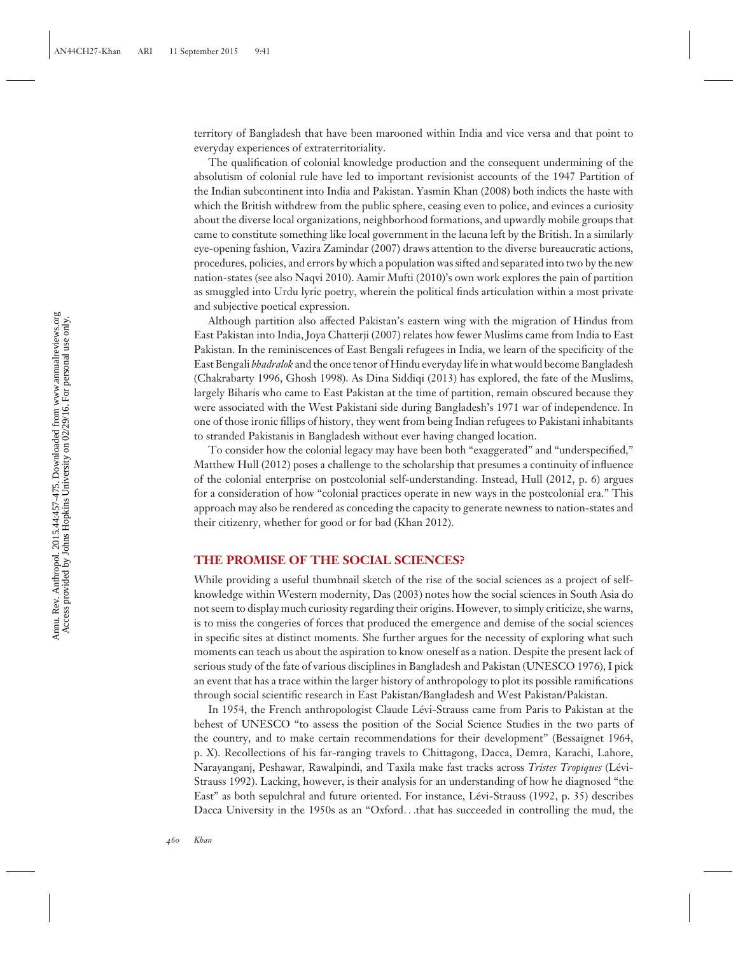territory of Bangladesh that have been marooned within India and vice versa and that point to everyday experiences of extraterritoriality.

The qualification of colonial knowledge production and the consequent undermining of the absolutism of colonial rule have led to important revisionist accounts of the 1947 Partition of the Indian subcontinent into India and Pakistan. Yasmin Khan (2008) both indicts the haste with which the British withdrew from the public sphere, ceasing even to police, and evinces a curiosity about the diverse local organizations, neighborhood formations, and upwardly mobile groups that came to constitute something like local government in the lacuna left by the British. In a similarly eye-opening fashion, Vazira Zamindar (2007) draws attention to the diverse bureaucratic actions, procedures, policies, and errors by which a population was sifted and separated into two by the new nation-states (see also Naqvi 2010). Aamir Mufti (2010)'s own work explores the pain of partition as smuggled into Urdu lyric poetry, wherein the political finds articulation within a most private and subjective poetical expression.

Although partition also affected Pakistan's eastern wing with the migration of Hindus from East Pakistan into India, Joya Chatterji (2007) relates how fewer Muslims came from India to East Pakistan. In the reminiscences of East Bengali refugees in India, we learn of the specificity of the East Bengali *bhadralok* and the once tenor of Hindu everyday life in what would become Bangladesh (Chakrabarty 1996, Ghosh 1998). As Dina Siddiqi (2013) has explored, the fate of the Muslims, largely Biharis who came to East Pakistan at the time of partition, remain obscured because they were associated with the West Pakistani side during Bangladesh's 1971 war of independence. In one of those ironic fillips of history, they went from being Indian refugees to Pakistani inhabitants to stranded Pakistanis in Bangladesh without ever having changed location.

To consider how the colonial legacy may have been both "exaggerated" and "underspecified," Matthew Hull (2012) poses a challenge to the scholarship that presumes a continuity of influence of the colonial enterprise on postcolonial self-understanding. Instead, Hull (2012, p. 6) argues for a consideration of how "colonial practices operate in new ways in the postcolonial era." This approach may also be rendered as conceding the capacity to generate newness to nation-states and their citizenry, whether for good or for bad (Khan 2012).

#### **THE PROMISE OF THE SOCIAL SCIENCES?**

While providing a useful thumbnail sketch of the rise of the social sciences as a project of selfknowledge within Western modernity, Das (2003) notes how the social sciences in South Asia do not seem to display much curiosity regarding their origins. However, to simply criticize, she warns, is to miss the congeries of forces that produced the emergence and demise of the social sciences in specific sites at distinct moments. She further argues for the necessity of exploring what such moments can teach us about the aspiration to know oneself as a nation. Despite the present lack of serious study of the fate of various disciplines in Bangladesh and Pakistan (UNESCO 1976), I pick an event that has a trace within the larger history of anthropology to plot its possible ramifications through social scientific research in East Pakistan/Bangladesh and West Pakistan/Pakistan.

In 1954, the French anthropologist Claude Levi-Strauss came from Paris to Pakistan at the ´ behest of UNESCO "to assess the position of the Social Science Studies in the two parts of the country, and to make certain recommendations for their development" (Bessaignet 1964, p. X). Recollections of his far-ranging travels to Chittagong, Dacca, Demra, Karachi, Lahore, Narayanganj, Peshawar, Rawalpindi, and Taxila make fast tracks across *Tristes Tropiques* (Levi- ´ Strauss 1992). Lacking, however, is their analysis for an understanding of how he diagnosed "the East" as both sepulchral and future oriented. For instance, Levi-Strauss (1992, p. 35) describes ´ Dacca University in the 1950s as an "Oxford*...*that has succeeded in controlling the mud, the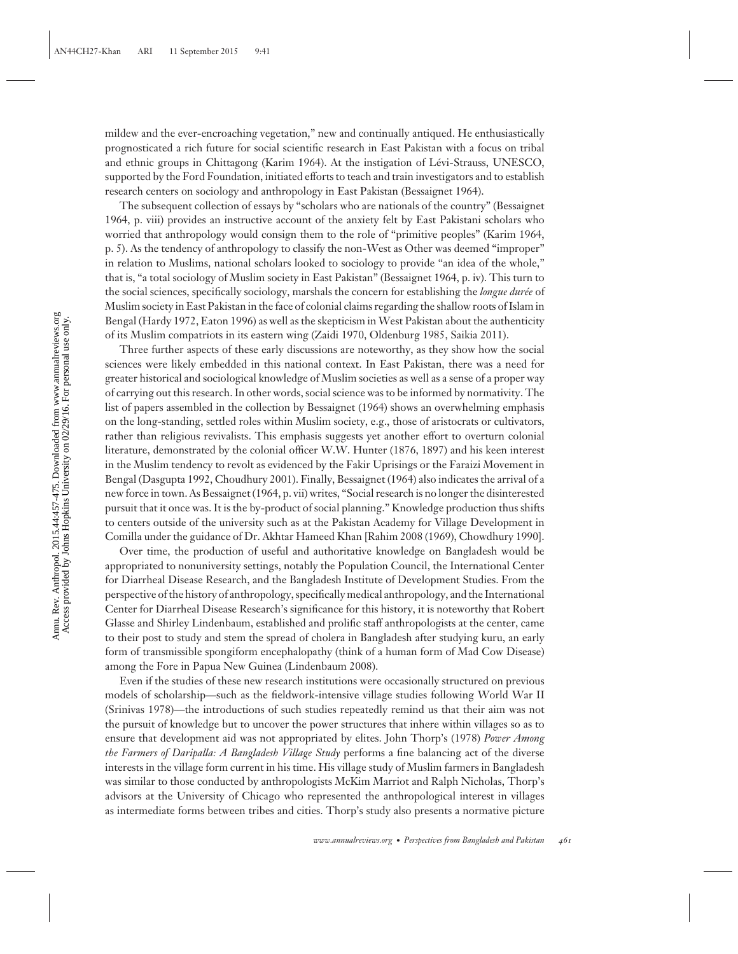mildew and the ever-encroaching vegetation," new and continually antiqued. He enthusiastically prognosticated a rich future for social scientific research in East Pakistan with a focus on tribal and ethnic groups in Chittagong (Karim 1964). At the instigation of Lévi-Strauss, UNESCO, supported by the Ford Foundation, initiated efforts to teach and train investigators and to establish research centers on sociology and anthropology in East Pakistan (Bessaignet 1964).

The subsequent collection of essays by "scholars who are nationals of the country" (Bessaignet 1964, p. viii) provides an instructive account of the anxiety felt by East Pakistani scholars who worried that anthropology would consign them to the role of "primitive peoples" (Karim 1964, p. 5). As the tendency of anthropology to classify the non-West as Other was deemed "improper" in relation to Muslims, national scholars looked to sociology to provide "an idea of the whole," that is, "a total sociology of Muslim society in East Pakistan" (Bessaignet 1964, p. iv). This turn to the social sciences, specifically sociology, marshals the concern for establishing the *longue durée* of Muslim society in East Pakistan in the face of colonial claims regarding the shallow roots of Islam in Bengal (Hardy 1972, Eaton 1996) as well as the skepticism in West Pakistan about the authenticity of its Muslim compatriots in its eastern wing (Zaidi 1970, Oldenburg 1985, Saikia 2011).

Three further aspects of these early discussions are noteworthy, as they show how the social sciences were likely embedded in this national context. In East Pakistan, there was a need for greater historical and sociological knowledge of Muslim societies as well as a sense of a proper way of carrying out this research. In other words, social science was to be informed by normativity. The list of papers assembled in the collection by Bessaignet (1964) shows an overwhelming emphasis on the long-standing, settled roles within Muslim society, e.g., those of aristocrats or cultivators, rather than religious revivalists. This emphasis suggests yet another effort to overturn colonial literature, demonstrated by the colonial officer W.W. Hunter (1876, 1897) and his keen interest in the Muslim tendency to revolt as evidenced by the Fakir Uprisings or the Faraizi Movement in Bengal (Dasgupta 1992, Choudhury 2001). Finally, Bessaignet (1964) also indicates the arrival of a new force in town. As Bessaignet (1964, p. vii) writes, "Social research is no longer the disinterested pursuit that it once was. It is the by-product of social planning." Knowledge production thus shifts to centers outside of the university such as at the Pakistan Academy for Village Development in Comilla under the guidance of Dr. Akhtar Hameed Khan [Rahim 2008 (1969), Chowdhury 1990].

Over time, the production of useful and authoritative knowledge on Bangladesh would be appropriated to nonuniversity settings, notably the Population Council, the International Center for Diarrheal Disease Research, and the Bangladesh Institute of Development Studies. From the perspective of the history of anthropology, specifically medical anthropology, and the International Center for Diarrheal Disease Research's significance for this history, it is noteworthy that Robert Glasse and Shirley Lindenbaum, established and prolific staff anthropologists at the center, came to their post to study and stem the spread of cholera in Bangladesh after studying kuru, an early form of transmissible spongiform encephalopathy (think of a human form of Mad Cow Disease) among the Fore in Papua New Guinea (Lindenbaum 2008).

Even if the studies of these new research institutions were occasionally structured on previous models of scholarship—such as the fieldwork-intensive village studies following World War II (Srinivas 1978)—the introductions of such studies repeatedly remind us that their aim was not the pursuit of knowledge but to uncover the power structures that inhere within villages so as to ensure that development aid was not appropriated by elites. John Thorp's (1978) *Power Among the Farmers of Daripalla: A Bangladesh Village Study* performs a fine balancing act of the diverse interests in the village form current in his time. His village study of Muslim farmers in Bangladesh was similar to those conducted by anthropologists McKim Marriot and Ralph Nicholas, Thorp's advisors at the University of Chicago who represented the anthropological interest in villages as intermediate forms between tribes and cities. Thorp's study also presents a normative picture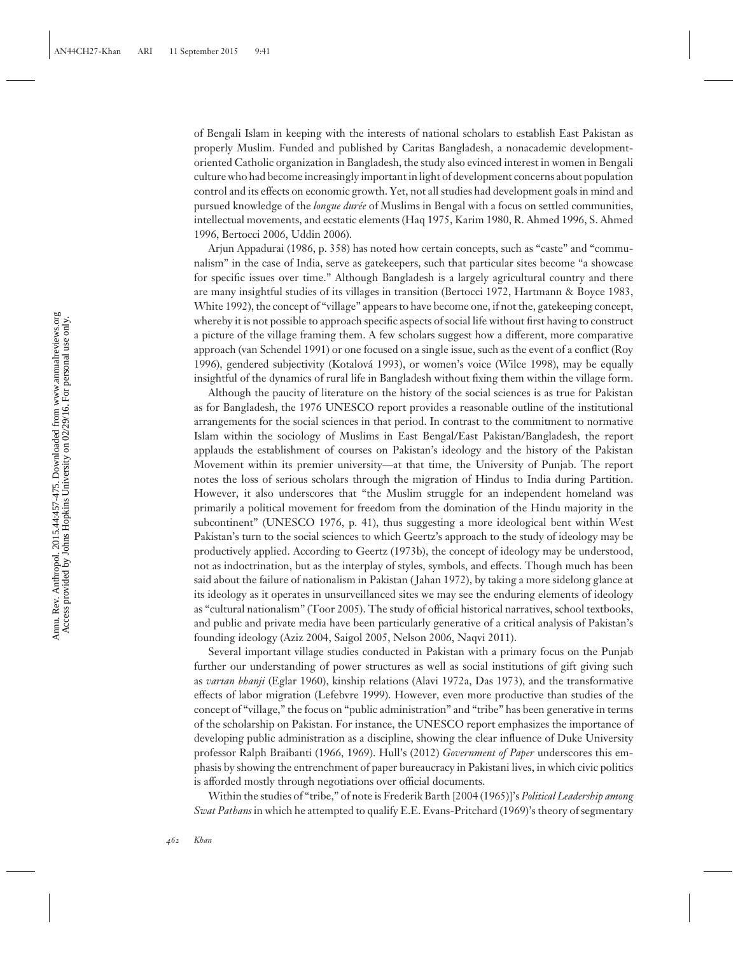of Bengali Islam in keeping with the interests of national scholars to establish East Pakistan as properly Muslim. Funded and published by Caritas Bangladesh, a nonacademic developmentoriented Catholic organization in Bangladesh, the study also evinced interest in women in Bengali culture who had become increasingly important in light of development concerns about population control and its effects on economic growth. Yet, not all studies had development goals in mind and pursued knowledge of the *longue dur´ee* of Muslims in Bengal with a focus on settled communities, intellectual movements, and ecstatic elements (Haq 1975, Karim 1980, R. Ahmed 1996, S. Ahmed 1996, Bertocci 2006, Uddin 2006).

Arjun Appadurai (1986, p. 358) has noted how certain concepts, such as "caste" and "communalism" in the case of India, serve as gatekeepers, such that particular sites become "a showcase for specific issues over time." Although Bangladesh is a largely agricultural country and there are many insightful studies of its villages in transition (Bertocci 1972, Hartmann & Boyce 1983, White 1992), the concept of "village" appears to have become one, if not the, gatekeeping concept, whereby it is not possible to approach specific aspects of social life without first having to construct a picture of the village framing them. A few scholars suggest how a different, more comparative approach (van Schendel 1991) or one focused on a single issue, such as the event of a conflict (Roy 1996), gendered subjectivity (Kotalová 1993), or women's voice (Wilce 1998), may be equally insightful of the dynamics of rural life in Bangladesh without fixing them within the village form.

Although the paucity of literature on the history of the social sciences is as true for Pakistan as for Bangladesh, the 1976 UNESCO report provides a reasonable outline of the institutional arrangements for the social sciences in that period. In contrast to the commitment to normative Islam within the sociology of Muslims in East Bengal/East Pakistan/Bangladesh, the report applauds the establishment of courses on Pakistan's ideology and the history of the Pakistan Movement within its premier university—at that time, the University of Punjab. The report notes the loss of serious scholars through the migration of Hindus to India during Partition. However, it also underscores that "the Muslim struggle for an independent homeland was primarily a political movement for freedom from the domination of the Hindu majority in the subcontinent" (UNESCO 1976, p. 41), thus suggesting a more ideological bent within West Pakistan's turn to the social sciences to which Geertz's approach to the study of ideology may be productively applied. According to Geertz (1973b), the concept of ideology may be understood, not as indoctrination, but as the interplay of styles, symbols, and effects. Though much has been said about the failure of nationalism in Pakistan ( Jahan 1972), by taking a more sidelong glance at its ideology as it operates in unsurveillanced sites we may see the enduring elements of ideology as "cultural nationalism" (Toor 2005). The study of official historical narratives, school textbooks, and public and private media have been particularly generative of a critical analysis of Pakistan's founding ideology (Aziz 2004, Saigol 2005, Nelson 2006, Naqvi 2011).

Several important village studies conducted in Pakistan with a primary focus on the Punjab further our understanding of power structures as well as social institutions of gift giving such as *vartan bhanji* (Eglar 1960), kinship relations (Alavi 1972a, Das 1973), and the transformative effects of labor migration (Lefebvre 1999). However, even more productive than studies of the concept of "village," the focus on "public administration" and "tribe" has been generative in terms of the scholarship on Pakistan. For instance, the UNESCO report emphasizes the importance of developing public administration as a discipline, showing the clear influence of Duke University professor Ralph Braibanti (1966, 1969). Hull's (2012) *Government of Paper* underscores this emphasis by showing the entrenchment of paper bureaucracy in Pakistani lives, in which civic politics is afforded mostly through negotiations over official documents.

Within the studies of "tribe," of note is Frederik Barth [2004 (1965)]'s *Political Leadership among Swat Pathans* in which he attempted to qualify E.E. Evans-Pritchard (1969)'s theory of segmentary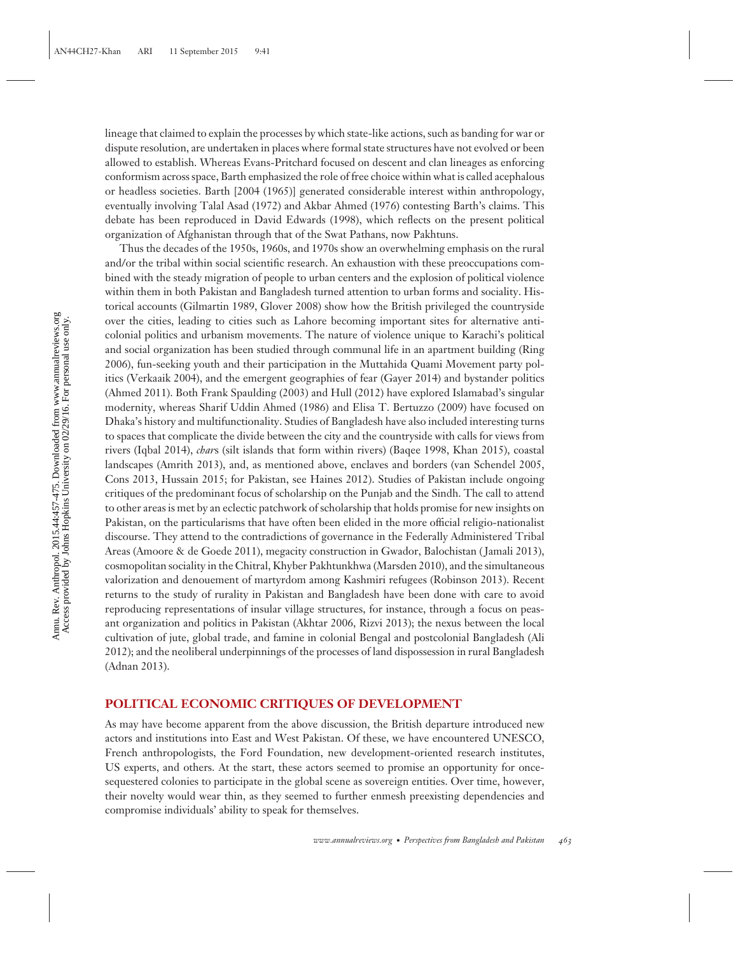lineage that claimed to explain the processes by which state-like actions, such as banding for war or dispute resolution, are undertaken in places where formal state structures have not evolved or been allowed to establish. Whereas Evans-Pritchard focused on descent and clan lineages as enforcing conformism across space, Barth emphasized the role of free choice within what is called acephalous or headless societies. Barth [2004 (1965)] generated considerable interest within anthropology, eventually involving Talal Asad (1972) and Akbar Ahmed (1976) contesting Barth's claims. This debate has been reproduced in David Edwards (1998), which reflects on the present political organization of Afghanistan through that of the Swat Pathans, now Pakhtuns.

Thus the decades of the 1950s, 1960s, and 1970s show an overwhelming emphasis on the rural and/or the tribal within social scientific research. An exhaustion with these preoccupations combined with the steady migration of people to urban centers and the explosion of political violence within them in both Pakistan and Bangladesh turned attention to urban forms and sociality. Historical accounts (Gilmartin 1989, Glover 2008) show how the British privileged the countryside over the cities, leading to cities such as Lahore becoming important sites for alternative anticolonial politics and urbanism movements. The nature of violence unique to Karachi's political and social organization has been studied through communal life in an apartment building (Ring 2006), fun-seeking youth and their participation in the Muttahida Quami Movement party politics (Verkaaik 2004), and the emergent geographies of fear (Gayer 2014) and bystander politics (Ahmed 2011). Both Frank Spaulding (2003) and Hull (2012) have explored Islamabad's singular modernity, whereas Sharif Uddin Ahmed (1986) and Elisa T. Bertuzzo (2009) have focused on Dhaka's history and multifunctionality. Studies of Bangladesh have also included interesting turns to spaces that complicate the divide between the city and the countryside with calls for views from rivers (Iqbal 2014), *char*s (silt islands that form within rivers) (Baqee 1998, Khan 2015), coastal landscapes (Amrith 2013), and, as mentioned above, enclaves and borders (van Schendel 2005, Cons 2013, Hussain 2015; for Pakistan, see Haines 2012). Studies of Pakistan include ongoing critiques of the predominant focus of scholarship on the Punjab and the Sindh. The call to attend to other areas is met by an eclectic patchwork of scholarship that holds promise for new insights on Pakistan, on the particularisms that have often been elided in the more official religio-nationalist discourse. They attend to the contradictions of governance in the Federally Administered Tribal Areas (Amoore & de Goede 2011), megacity construction in Gwador, Balochistan ( Jamali 2013), cosmopolitan sociality in the Chitral, Khyber Pakhtunkhwa (Marsden 2010), and the simultaneous valorization and denouement of martyrdom among Kashmiri refugees (Robinson 2013). Recent returns to the study of rurality in Pakistan and Bangladesh have been done with care to avoid reproducing representations of insular village structures, for instance, through a focus on peasant organization and politics in Pakistan (Akhtar 2006, Rizvi 2013); the nexus between the local cultivation of jute, global trade, and famine in colonial Bengal and postcolonial Bangladesh (Ali 2012); and the neoliberal underpinnings of the processes of land dispossession in rural Bangladesh (Adnan 2013).

#### **POLITICAL ECONOMIC CRITIQUES OF DEVELOPMENT**

As may have become apparent from the above discussion, the British departure introduced new actors and institutions into East and West Pakistan. Of these, we have encountered UNESCO, French anthropologists, the Ford Foundation, new development-oriented research institutes, US experts, and others. At the start, these actors seemed to promise an opportunity for oncesequestered colonies to participate in the global scene as sovereign entities. Over time, however, their novelty would wear thin, as they seemed to further enmesh preexisting dependencies and compromise individuals' ability to speak for themselves.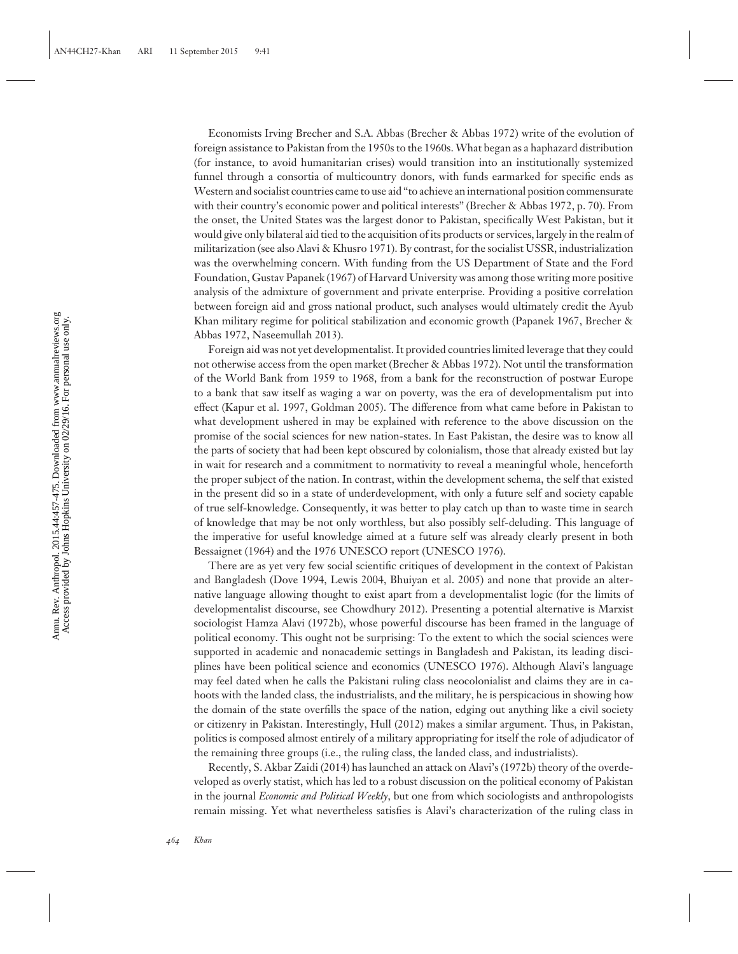Economists Irving Brecher and S.A. Abbas (Brecher & Abbas 1972) write of the evolution of foreign assistance to Pakistan from the 1950s to the 1960s. What began as a haphazard distribution (for instance, to avoid humanitarian crises) would transition into an institutionally systemized funnel through a consortia of multicountry donors, with funds earmarked for specific ends as Western and socialist countries came to use aid "to achieve an international position commensurate with their country's economic power and political interests" (Brecher & Abbas 1972, p. 70). From the onset, the United States was the largest donor to Pakistan, specifically West Pakistan, but it would give only bilateral aid tied to the acquisition of its products or services, largely in the realm of militarization (see also Alavi & Khusro 1971). By contrast, for the socialist USSR, industrialization was the overwhelming concern. With funding from the US Department of State and the Ford Foundation, Gustav Papanek (1967) of Harvard University was among those writing more positive analysis of the admixture of government and private enterprise. Providing a positive correlation between foreign aid and gross national product, such analyses would ultimately credit the Ayub Khan military regime for political stabilization and economic growth (Papanek 1967, Brecher & Abbas 1972, Naseemullah 2013).

Foreign aid was not yet developmentalist. It provided countries limited leverage that they could not otherwise access from the open market (Brecher & Abbas 1972). Not until the transformation of the World Bank from 1959 to 1968, from a bank for the reconstruction of postwar Europe to a bank that saw itself as waging a war on poverty, was the era of developmentalism put into effect (Kapur et al. 1997, Goldman 2005). The difference from what came before in Pakistan to what development ushered in may be explained with reference to the above discussion on the promise of the social sciences for new nation-states. In East Pakistan, the desire was to know all the parts of society that had been kept obscured by colonialism, those that already existed but lay in wait for research and a commitment to normativity to reveal a meaningful whole, henceforth the proper subject of the nation. In contrast, within the development schema, the self that existed in the present did so in a state of underdevelopment, with only a future self and society capable of true self-knowledge. Consequently, it was better to play catch up than to waste time in search of knowledge that may be not only worthless, but also possibly self-deluding. This language of the imperative for useful knowledge aimed at a future self was already clearly present in both Bessaignet (1964) and the 1976 UNESCO report (UNESCO 1976).

There are as yet very few social scientific critiques of development in the context of Pakistan and Bangladesh (Dove 1994, Lewis 2004, Bhuiyan et al. 2005) and none that provide an alternative language allowing thought to exist apart from a developmentalist logic (for the limits of developmentalist discourse, see Chowdhury 2012). Presenting a potential alternative is Marxist sociologist Hamza Alavi (1972b), whose powerful discourse has been framed in the language of political economy. This ought not be surprising: To the extent to which the social sciences were supported in academic and nonacademic settings in Bangladesh and Pakistan, its leading disciplines have been political science and economics (UNESCO 1976). Although Alavi's language may feel dated when he calls the Pakistani ruling class neocolonialist and claims they are in cahoots with the landed class, the industrialists, and the military, he is perspicacious in showing how the domain of the state overfills the space of the nation, edging out anything like a civil society or citizenry in Pakistan. Interestingly, Hull (2012) makes a similar argument. Thus, in Pakistan, politics is composed almost entirely of a military appropriating for itself the role of adjudicator of the remaining three groups (i.e., the ruling class, the landed class, and industrialists).

Recently, S. Akbar Zaidi (2014) has launched an attack on Alavi's (1972b) theory of the overdeveloped as overly statist, which has led to a robust discussion on the political economy of Pakistan in the journal *Economic and Political Weekly*, but one from which sociologists and anthropologists remain missing. Yet what nevertheless satisfies is Alavi's characterization of the ruling class in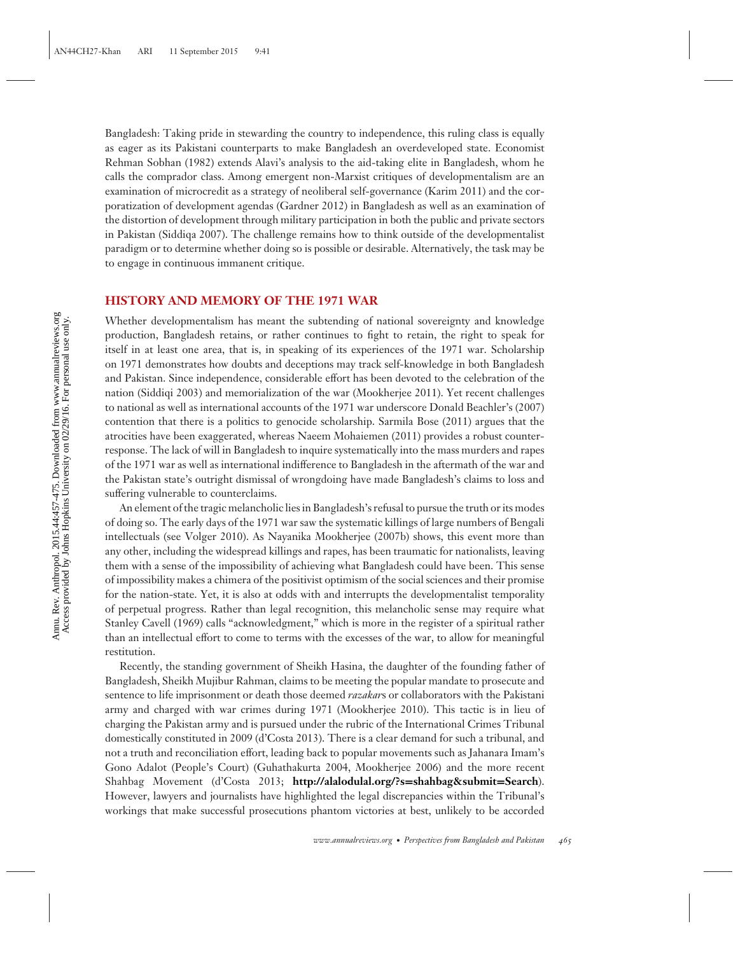Bangladesh: Taking pride in stewarding the country to independence, this ruling class is equally as eager as its Pakistani counterparts to make Bangladesh an overdeveloped state. Economist Rehman Sobhan (1982) extends Alavi's analysis to the aid-taking elite in Bangladesh, whom he calls the comprador class. Among emergent non-Marxist critiques of developmentalism are an examination of microcredit as a strategy of neoliberal self-governance (Karim 2011) and the corporatization of development agendas (Gardner 2012) in Bangladesh as well as an examination of the distortion of development through military participation in both the public and private sectors in Pakistan (Siddiqa 2007). The challenge remains how to think outside of the developmentalist paradigm or to determine whether doing so is possible or desirable. Alternatively, the task may be to engage in continuous immanent critique.

#### **HISTORY AND MEMORY OF THE 1971 WAR**

Whether developmentalism has meant the subtending of national sovereignty and knowledge production, Bangladesh retains, or rather continues to fight to retain, the right to speak for itself in at least one area, that is, in speaking of its experiences of the 1971 war. Scholarship on 1971 demonstrates how doubts and deceptions may track self-knowledge in both Bangladesh and Pakistan. Since independence, considerable effort has been devoted to the celebration of the nation (Siddiqi 2003) and memorialization of the war (Mookherjee 2011). Yet recent challenges to national as well as international accounts of the 1971 war underscore Donald Beachler's (2007) contention that there is a politics to genocide scholarship. Sarmila Bose (2011) argues that the atrocities have been exaggerated, whereas Naeem Mohaiemen (2011) provides a robust counterresponse. The lack of will in Bangladesh to inquire systematically into the mass murders and rapes of the 1971 war as well as international indifference to Bangladesh in the aftermath of the war and the Pakistan state's outright dismissal of wrongdoing have made Bangladesh's claims to loss and suffering vulnerable to counterclaims.

An element of the tragic melancholic lies in Bangladesh's refusal to pursue the truth or its modes of doing so. The early days of the 1971 war saw the systematic killings of large numbers of Bengali intellectuals (see Volger 2010). As Nayanika Mookherjee (2007b) shows, this event more than any other, including the widespread killings and rapes, has been traumatic for nationalists, leaving them with a sense of the impossibility of achieving what Bangladesh could have been. This sense of impossibility makes a chimera of the positivist optimism of the social sciences and their promise for the nation-state. Yet, it is also at odds with and interrupts the developmentalist temporality of perpetual progress. Rather than legal recognition, this melancholic sense may require what Stanley Cavell (1969) calls "acknowledgment," which is more in the register of a spiritual rather than an intellectual effort to come to terms with the excesses of the war, to allow for meaningful restitution.

Recently, the standing government of Sheikh Hasina, the daughter of the founding father of Bangladesh, Sheikh Mujibur Rahman, claims to be meeting the popular mandate to prosecute and sentence to life imprisonment or death those deemed *razakar*s or collaborators with the Pakistani army and charged with war crimes during 1971 (Mookherjee 2010). This tactic is in lieu of charging the Pakistan army and is pursued under the rubric of the International Crimes Tribunal domestically constituted in 2009 (d'Costa 2013). There is a clear demand for such a tribunal, and not a truth and reconciliation effort, leading back to popular movements such as Jahanara Imam's Gono Adalot (People's Court) (Guhathakurta 2004, Mookherjee 2006) and the more recent Shahbag Movement (d'Costa 2013; **[http://alalodulal.org/?s](http://alalodulal.org/?s=shahbag&submit=Search)=shahbag&submit=Search**). However, lawyers and journalists have highlighted the legal discrepancies within the Tribunal's workings that make successful prosecutions phantom victories at best, unlikely to be accorded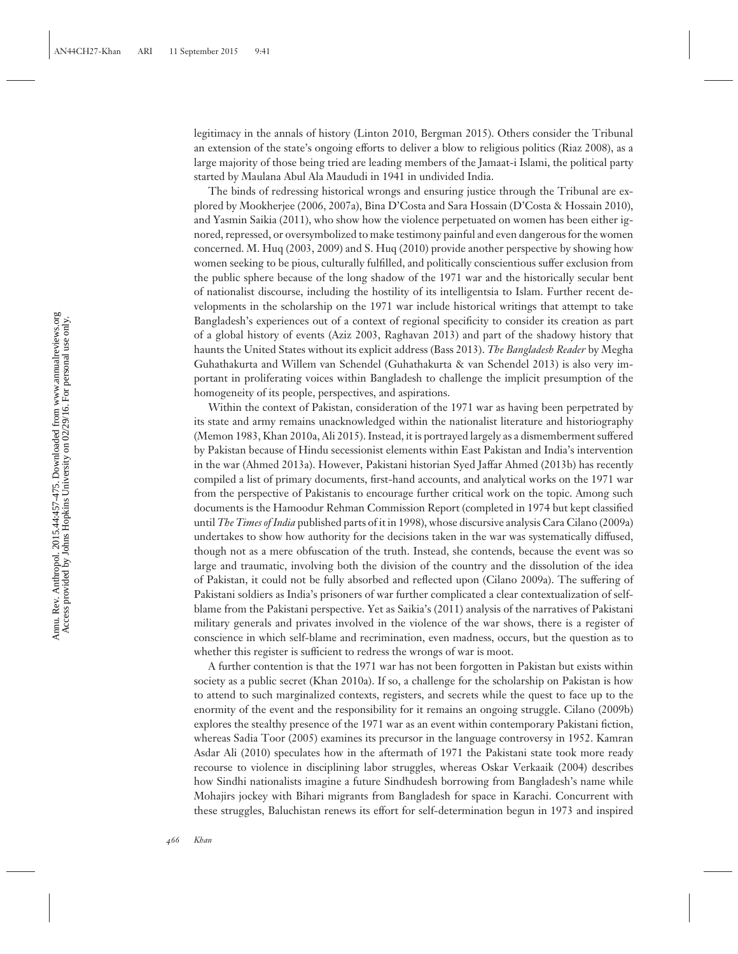legitimacy in the annals of history (Linton 2010, Bergman 2015). Others consider the Tribunal an extension of the state's ongoing efforts to deliver a blow to religious politics (Riaz 2008), as a large majority of those being tried are leading members of the Jamaat-i Islami, the political party started by Maulana Abul Ala Maududi in 1941 in undivided India.

The binds of redressing historical wrongs and ensuring justice through the Tribunal are explored by Mookherjee (2006, 2007a), Bina D'Costa and Sara Hossain (D'Costa & Hossain 2010), and Yasmin Saikia (2011), who show how the violence perpetuated on women has been either ignored, repressed, or oversymbolized to make testimony painful and even dangerous for the women concerned. M. Huq (2003, 2009) and S. Huq (2010) provide another perspective by showing how women seeking to be pious, culturally fulfilled, and politically conscientious suffer exclusion from the public sphere because of the long shadow of the 1971 war and the historically secular bent of nationalist discourse, including the hostility of its intelligentsia to Islam. Further recent developments in the scholarship on the 1971 war include historical writings that attempt to take Bangladesh's experiences out of a context of regional specificity to consider its creation as part of a global history of events (Aziz 2003, Raghavan 2013) and part of the shadowy history that haunts the United States without its explicit address (Bass 2013). *The Bangladesh Reader* by Megha Guhathakurta and Willem van Schendel (Guhathakurta & van Schendel 2013) is also very important in proliferating voices within Bangladesh to challenge the implicit presumption of the homogeneity of its people, perspectives, and aspirations.

Within the context of Pakistan, consideration of the 1971 war as having been perpetrated by its state and army remains unacknowledged within the nationalist literature and historiography (Memon 1983, Khan 2010a, Ali 2015). Instead, it is portrayed largely as a dismemberment suffered by Pakistan because of Hindu secessionist elements within East Pakistan and India's intervention in the war (Ahmed 2013a). However, Pakistani historian Syed Jaffar Ahmed (2013b) has recently compiled a list of primary documents, first-hand accounts, and analytical works on the 1971 war from the perspective of Pakistanis to encourage further critical work on the topic. Among such documents is the Hamoodur Rehman Commission Report (completed in 1974 but kept classified until *The Times of India* published parts of it in 1998), whose discursive analysis Cara Cilano (2009a) undertakes to show how authority for the decisions taken in the war was systematically diffused, though not as a mere obfuscation of the truth. Instead, she contends, because the event was so large and traumatic, involving both the division of the country and the dissolution of the idea of Pakistan, it could not be fully absorbed and reflected upon (Cilano 2009a). The suffering of Pakistani soldiers as India's prisoners of war further complicated a clear contextualization of selfblame from the Pakistani perspective. Yet as Saikia's (2011) analysis of the narratives of Pakistani military generals and privates involved in the violence of the war shows, there is a register of conscience in which self-blame and recrimination, even madness, occurs, but the question as to whether this register is sufficient to redress the wrongs of war is moot.

A further contention is that the 1971 war has not been forgotten in Pakistan but exists within society as a public secret (Khan 2010a). If so, a challenge for the scholarship on Pakistan is how to attend to such marginalized contexts, registers, and secrets while the quest to face up to the enormity of the event and the responsibility for it remains an ongoing struggle. Cilano (2009b) explores the stealthy presence of the 1971 war as an event within contemporary Pakistani fiction, whereas Sadia Toor (2005) examines its precursor in the language controversy in 1952. Kamran Asdar Ali (2010) speculates how in the aftermath of 1971 the Pakistani state took more ready recourse to violence in disciplining labor struggles, whereas Oskar Verkaaik (2004) describes how Sindhi nationalists imagine a future Sindhudesh borrowing from Bangladesh's name while Mohajirs jockey with Bihari migrants from Bangladesh for space in Karachi. Concurrent with these struggles, Baluchistan renews its effort for self-determination begun in 1973 and inspired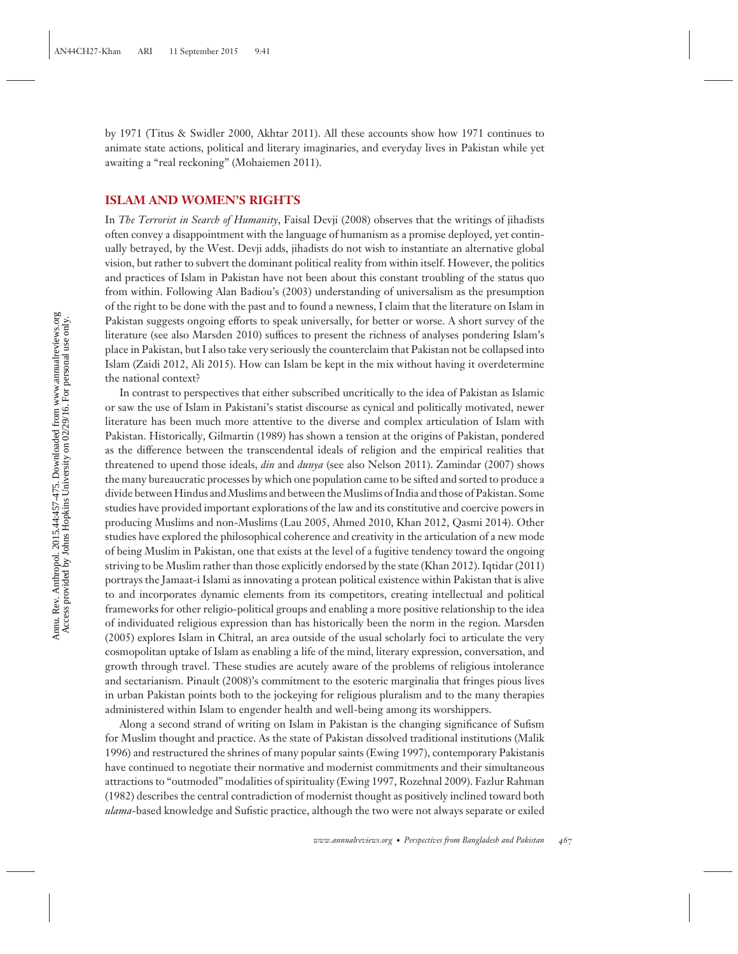by 1971 (Titus & Swidler 2000, Akhtar 2011). All these accounts show how 1971 continues to animate state actions, political and literary imaginaries, and everyday lives in Pakistan while yet awaiting a "real reckoning" (Mohaiemen 2011).

#### **ISLAM AND WOMEN'S RIGHTS**

In *The Terrorist in Search of Humanity*, Faisal Devji (2008) observes that the writings of jihadists often convey a disappointment with the language of humanism as a promise deployed, yet continually betrayed, by the West. Devji adds, jihadists do not wish to instantiate an alternative global vision, but rather to subvert the dominant political reality from within itself. However, the politics and practices of Islam in Pakistan have not been about this constant troubling of the status quo from within. Following Alan Badiou's (2003) understanding of universalism as the presumption of the right to be done with the past and to found a newness, I claim that the literature on Islam in Pakistan suggests ongoing efforts to speak universally, for better or worse. A short survey of the literature (see also Marsden 2010) suffices to present the richness of analyses pondering Islam's place in Pakistan, but I also take very seriously the counterclaim that Pakistan not be collapsed into Islam (Zaidi 2012, Ali 2015). How can Islam be kept in the mix without having it overdetermine the national context?

In contrast to perspectives that either subscribed uncritically to the idea of Pakistan as Islamic or saw the use of Islam in Pakistani's statist discourse as cynical and politically motivated, newer literature has been much more attentive to the diverse and complex articulation of Islam with Pakistan. Historically, Gilmartin (1989) has shown a tension at the origins of Pakistan, pondered as the difference between the transcendental ideals of religion and the empirical realities that threatened to upend those ideals, *din* and *dunya* (see also Nelson 2011). Zamindar (2007) shows the many bureaucratic processes by which one population came to be sifted and sorted to produce a divide between Hindus and Muslims and between the Muslims of India and those of Pakistan. Some studies have provided important explorations of the law and its constitutive and coercive powers in producing Muslims and non-Muslims (Lau 2005, Ahmed 2010, Khan 2012, Qasmi 2014). Other studies have explored the philosophical coherence and creativity in the articulation of a new mode of being Muslim in Pakistan, one that exists at the level of a fugitive tendency toward the ongoing striving to be Muslim rather than those explicitly endorsed by the state (Khan 2012). Iqtidar (2011) portrays the Jamaat-i Islami as innovating a protean political existence within Pakistan that is alive to and incorporates dynamic elements from its competitors, creating intellectual and political frameworks for other religio-political groups and enabling a more positive relationship to the idea of individuated religious expression than has historically been the norm in the region. Marsden (2005) explores Islam in Chitral, an area outside of the usual scholarly foci to articulate the very cosmopolitan uptake of Islam as enabling a life of the mind, literary expression, conversation, and growth through travel. These studies are acutely aware of the problems of religious intolerance and sectarianism. Pinault (2008)'s commitment to the esoteric marginalia that fringes pious lives in urban Pakistan points both to the jockeying for religious pluralism and to the many therapies administered within Islam to engender health and well-being among its worshippers.

Along a second strand of writing on Islam in Pakistan is the changing significance of Sufism for Muslim thought and practice. As the state of Pakistan dissolved traditional institutions (Malik 1996) and restructured the shrines of many popular saints (Ewing 1997), contemporary Pakistanis have continued to negotiate their normative and modernist commitments and their simultaneous attractions to "outmoded" modalities of spirituality (Ewing 1997, Rozehnal 2009). Fazlur Rahman (1982) describes the central contradiction of modernist thought as positively inclined toward both *ulama*-based knowledge and Sufistic practice, although the two were not always separate or exiled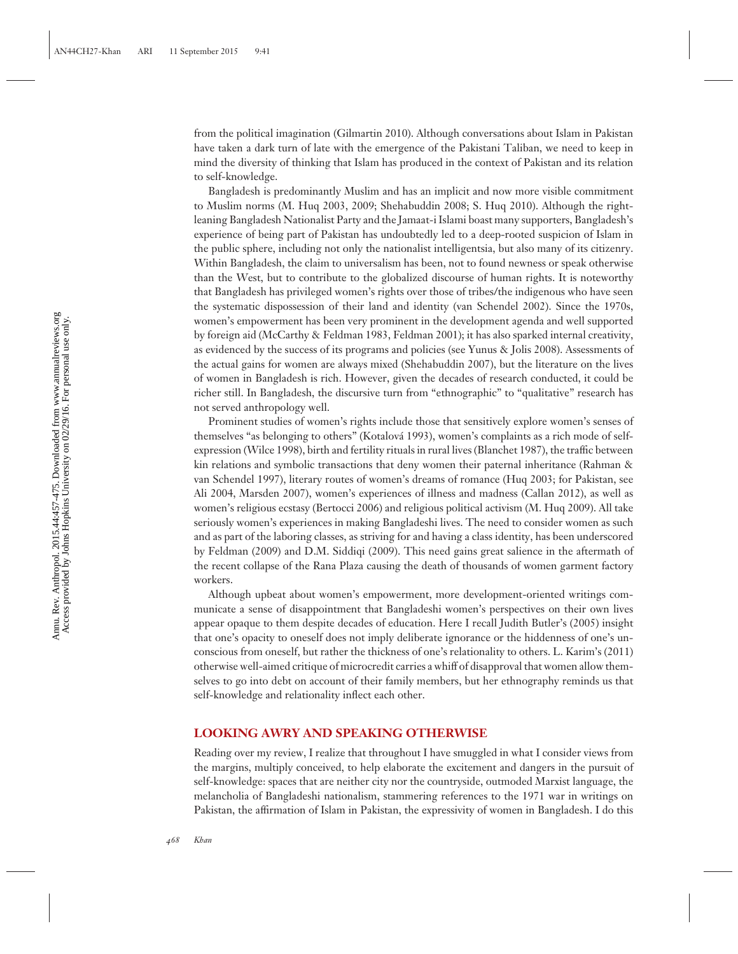from the political imagination (Gilmartin 2010). Although conversations about Islam in Pakistan have taken a dark turn of late with the emergence of the Pakistani Taliban, we need to keep in mind the diversity of thinking that Islam has produced in the context of Pakistan and its relation to self-knowledge.

Bangladesh is predominantly Muslim and has an implicit and now more visible commitment to Muslim norms (M. Huq 2003, 2009; Shehabuddin 2008; S. Huq 2010). Although the rightleaning Bangladesh Nationalist Party and the Jamaat-i Islami boast many supporters, Bangladesh's experience of being part of Pakistan has undoubtedly led to a deep-rooted suspicion of Islam in the public sphere, including not only the nationalist intelligentsia, but also many of its citizenry. Within Bangladesh, the claim to universalism has been, not to found newness or speak otherwise than the West, but to contribute to the globalized discourse of human rights. It is noteworthy that Bangladesh has privileged women's rights over those of tribes/the indigenous who have seen the systematic dispossession of their land and identity (van Schendel 2002). Since the 1970s, women's empowerment has been very prominent in the development agenda and well supported by foreign aid (McCarthy & Feldman 1983, Feldman 2001); it has also sparked internal creativity, as evidenced by the success of its programs and policies (see Yunus & Jolis 2008). Assessments of the actual gains for women are always mixed (Shehabuddin 2007), but the literature on the lives of women in Bangladesh is rich. However, given the decades of research conducted, it could be richer still. In Bangladesh, the discursive turn from "ethnographic" to "qualitative" research has not served anthropology well.

Prominent studies of women's rights include those that sensitively explore women's senses of themselves "as belonging to others" (Kotalova 1993), women's complaints as a rich mode of self- ´ expression (Wilce 1998), birth and fertility rituals in rural lives (Blanchet 1987), the traffic between kin relations and symbolic transactions that deny women their paternal inheritance (Rahman & van Schendel 1997), literary routes of women's dreams of romance (Huq 2003; for Pakistan, see Ali 2004, Marsden 2007), women's experiences of illness and madness (Callan 2012), as well as women's religious ecstasy (Bertocci 2006) and religious political activism (M. Huq 2009). All take seriously women's experiences in making Bangladeshi lives. The need to consider women as such and as part of the laboring classes, as striving for and having a class identity, has been underscored by Feldman (2009) and D.M. Siddiqi (2009). This need gains great salience in the aftermath of the recent collapse of the Rana Plaza causing the death of thousands of women garment factory workers.

Although upbeat about women's empowerment, more development-oriented writings communicate a sense of disappointment that Bangladeshi women's perspectives on their own lives appear opaque to them despite decades of education. Here I recall Judith Butler's (2005) insight that one's opacity to oneself does not imply deliberate ignorance or the hiddenness of one's unconscious from oneself, but rather the thickness of one's relationality to others. L. Karim's (2011) otherwise well-aimed critique of microcredit carries a whiff of disapproval that women allow themselves to go into debt on account of their family members, but her ethnography reminds us that self-knowledge and relationality inflect each other.

#### **LOOKING AWRY AND SPEAKING OTHERWISE**

Reading over my review, I realize that throughout I have smuggled in what I consider views from the margins, multiply conceived, to help elaborate the excitement and dangers in the pursuit of self-knowledge: spaces that are neither city nor the countryside, outmoded Marxist language, the melancholia of Bangladeshi nationalism, stammering references to the 1971 war in writings on Pakistan, the affirmation of Islam in Pakistan, the expressivity of women in Bangladesh. I do this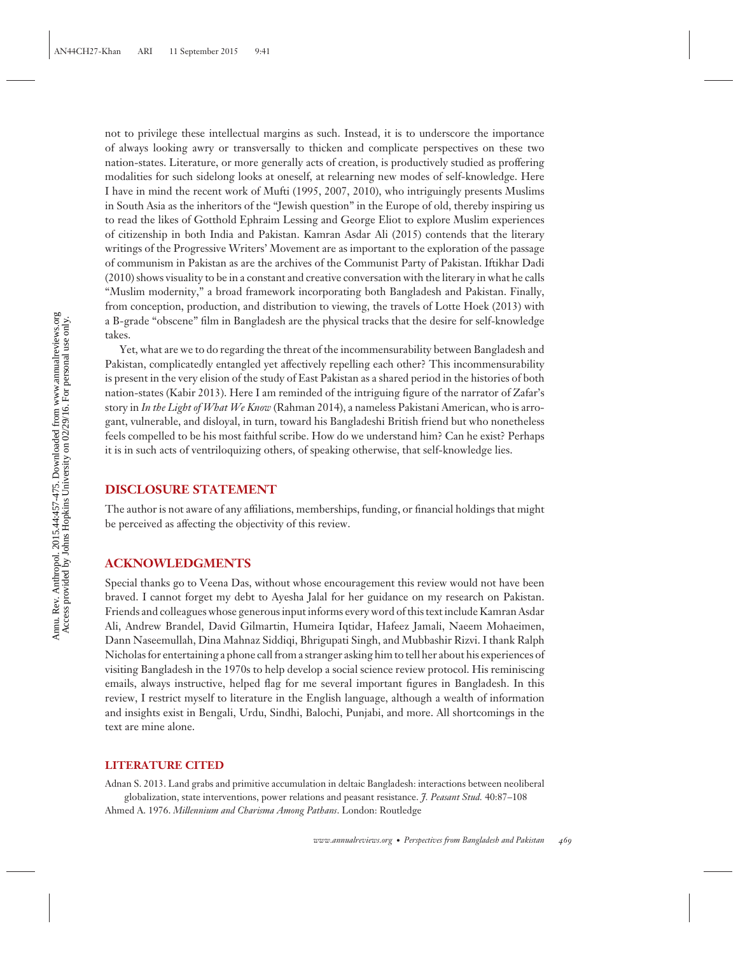not to privilege these intellectual margins as such. Instead, it is to underscore the importance of always looking awry or transversally to thicken and complicate perspectives on these two nation-states. Literature, or more generally acts of creation, is productively studied as proffering modalities for such sidelong looks at oneself, at relearning new modes of self-knowledge. Here I have in mind the recent work of Mufti (1995, 2007, 2010), who intriguingly presents Muslims in South Asia as the inheritors of the "Jewish question" in the Europe of old, thereby inspiring us to read the likes of Gotthold Ephraim Lessing and George Eliot to explore Muslim experiences of citizenship in both India and Pakistan. Kamran Asdar Ali (2015) contends that the literary writings of the Progressive Writers' Movement are as important to the exploration of the passage of communism in Pakistan as are the archives of the Communist Party of Pakistan. Iftikhar Dadi (2010) shows visuality to be in a constant and creative conversation with the literary in what he calls "Muslim modernity," a broad framework incorporating both Bangladesh and Pakistan. Finally, from conception, production, and distribution to viewing, the travels of Lotte Hoek (2013) with a B-grade "obscene" film in Bangladesh are the physical tracks that the desire for self-knowledge takes.

Yet, what are we to do regarding the threat of the incommensurability between Bangladesh and Pakistan, complicatedly entangled yet affectively repelling each other? This incommensurability is present in the very elision of the study of East Pakistan as a shared period in the histories of both nation-states (Kabir 2013). Here I am reminded of the intriguing figure of the narrator of Zafar's story in *In the Light of What We Know* (Rahman 2014), a nameless Pakistani American, who is arrogant, vulnerable, and disloyal, in turn, toward his Bangladeshi British friend but who nonetheless feels compelled to be his most faithful scribe. How do we understand him? Can he exist? Perhaps it is in such acts of ventriloquizing others, of speaking otherwise, that self-knowledge lies.

#### **DISCLOSURE STATEMENT**

The author is not aware of any affiliations, memberships, funding, or financial holdings that might be perceived as affecting the objectivity of this review.

#### **ACKNOWLEDGMENTS**

Special thanks go to Veena Das, without whose encouragement this review would not have been braved. I cannot forget my debt to Ayesha Jalal for her guidance on my research on Pakistan. Friends and colleagues whose generous input informs every word of this text include Kamran Asdar Ali, Andrew Brandel, David Gilmartin, Humeira Iqtidar, Hafeez Jamali, Naeem Mohaeimen, Dann Naseemullah, Dina Mahnaz Siddiqi, Bhrigupati Singh, and Mubbashir Rizvi. I thank Ralph Nicholas for entertaining a phone call from a stranger asking him to tell her about his experiences of visiting Bangladesh in the 1970s to help develop a social science review protocol. His reminiscing emails, always instructive, helped flag for me several important figures in Bangladesh. In this review, I restrict myself to literature in the English language, although a wealth of information and insights exist in Bengali, Urdu, Sindhi, Balochi, Punjabi, and more. All shortcomings in the text are mine alone.

#### **LITERATURE CITED**

Adnan S. 2013. Land grabs and primitive accumulation in deltaic Bangladesh: interactions between neoliberal globalization, state interventions, power relations and peasant resistance. *J. Peasant Stud.* 40:87–108 Ahmed A. 1976. *Millennium and Charisma Among Pathans*. London: Routledge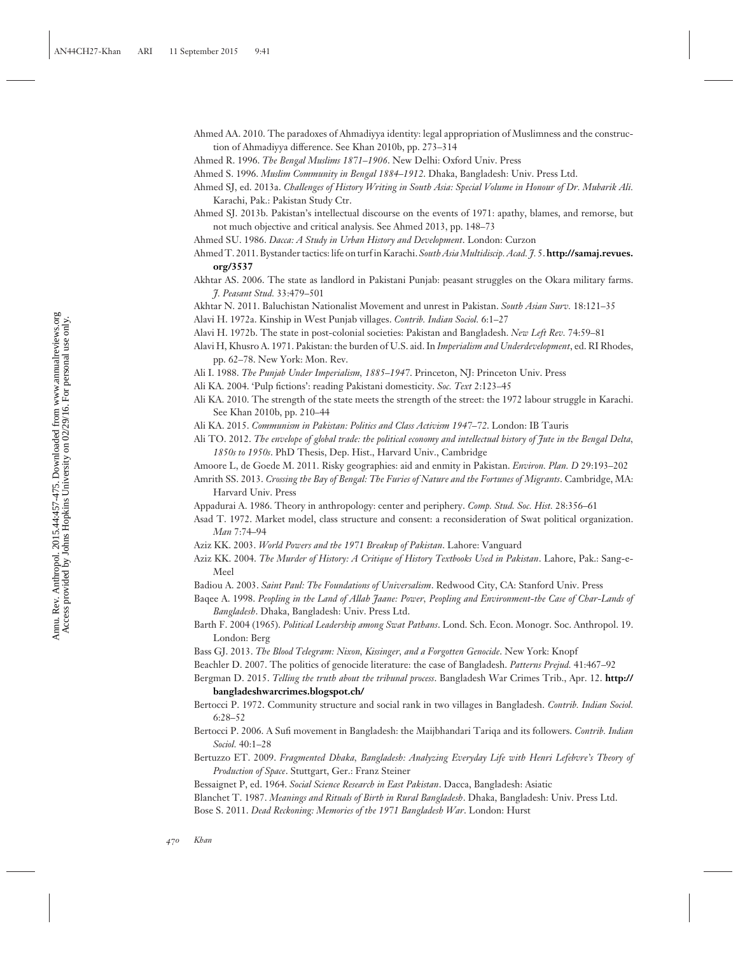- Ahmed AA. 2010. The paradoxes of Ahmadiyya identity: legal appropriation of Muslimness and the construction of Ahmadiyya difference. See Khan 2010b, pp. 273–314
- Ahmed R. 1996. *The Bengal Muslims 1871–1906*. New Delhi: Oxford Univ. Press
- Ahmed S. 1996. *Muslim Community in Bengal 1884–1912*. Dhaka, Bangladesh: Univ. Press Ltd.
- Ahmed SJ, ed. 2013a. *Challenges of History Writing in South Asia: Special Volume in Honour of Dr. Mubarik Ali.* Karachi, Pak.: Pakistan Study Ctr.
- Ahmed SJ. 2013b. Pakistan's intellectual discourse on the events of 1971: apathy, blames, and remorse, but not much objective and critical analysis. See Ahmed 2013, pp. 148–73
- Ahmed SU. 1986. *Dacca: A Study in Urban History and Development*. London: Curzon
- Ahmed T. 2011. Bystander tactics: life on turf in Karachi. *South Asia Multidiscip. Acad. J.* 5.**[http://samaj.revues.](http://samaj.revues.org/3537) [org/3537](http://samaj.revues.org/3537)**
- Akhtar AS. 2006. The state as landlord in Pakistani Punjab: peasant struggles on the Okara military farms. *J. Peasant Stud.* 33:479–501

Akhtar N. 2011. Baluchistan Nationalist Movement and unrest in Pakistan. *South Asian Surv.* 18:121–35

Alavi H. 1972a. Kinship in West Punjab villages. *Contrib. Indian Sociol.* 6:1–27

- Alavi H. 1972b. The state in post-colonial societies: Pakistan and Bangladesh. *New Left Rev.* 74:59–81
- Alavi H, Khusro A. 1971. Pakistan: the burden of U.S. aid. In *Imperialism and Underdevelopment*, ed. RI Rhodes, pp. 62–78. New York: Mon. Rev.
- Ali I. 1988. *The Punjab Under Imperialism, 1885–1947*. Princeton, NJ: Princeton Univ. Press
- Ali KA. 2004. 'Pulp fictions': reading Pakistani domesticity. *Soc. Text* 2:123–45
- Ali KA. 2010. The strength of the state meets the strength of the street: the 1972 labour struggle in Karachi. See Khan 2010b, pp. 210–44
- Ali KA. 2015. *Communism in Pakistan: Politics and Class Activism 1947–72*. London: IB Tauris
- Ali TO. 2012. *The envelope of global trade: the political economy and intellectual history of Jute in the Bengal Delta, 1850s to 1950s*. PhD Thesis, Dep. Hist., Harvard Univ., Cambridge
- Amoore L, de Goede M. 2011. Risky geographies: aid and enmity in Pakistan. *Environ. Plan. D* 29:193–202
- Amrith SS. 2013. *Crossing the Bay of Bengal: The Furies of Nature and the Fortunes of Migrants*. Cambridge, MA: Harvard Univ. Press
- Appadurai A. 1986. Theory in anthropology: center and periphery. *Comp. Stud. Soc. Hist.* 28:356–61
- Asad T. 1972. Market model, class structure and consent: a reconsideration of Swat political organization. *Man* 7:74–94
- Aziz KK. 2003. *World Powers and the 1971 Breakup of Pakistan*. Lahore: Vanguard
- Aziz KK. 2004. *The Murder of History: A Critique of History Textbooks Used in Pakistan*. Lahore, Pak.: Sang-e-Meel
- Badiou A. 2003. *Saint Paul: The Foundations of Universalism*. Redwood City, CA: Stanford Univ. Press
- Baqee A. 1998. *Peopling in the Land of Allah Jaane: Power, Peopling and Environment-the Case of Char-Lands of Bangladesh*. Dhaka, Bangladesh: Univ. Press Ltd.
- Barth F. 2004 (1965). *Political Leadership among Swat Pathans*. Lond. Sch. Econ. Monogr. Soc. Anthropol. 19. London: Berg
- Bass GJ. 2013. *The Blood Telegram: Nixon, Kissinger, and a Forgotten Genocide*. New York: Knopf
- Beachler D. 2007. The politics of genocide literature: the case of Bangladesh. *Patterns Prejud.* 41:467–92

Bergman D. 2015. *Telling the truth about the tribunal process*. Bangladesh War Crimes Trib., Apr. 12. **[http://](http://bangladeshwarcrimes.blogspot.ch/) [bangladeshwarcrimes.blogspot.ch/](http://bangladeshwarcrimes.blogspot.ch/)**

- Bertocci P. 1972. Community structure and social rank in two villages in Bangladesh. *Contrib. Indian Sociol.* 6:28–52
- Bertocci P. 2006. A Sufi movement in Bangladesh: the Maijbhandari Tariqa and its followers. *Contrib. Indian Sociol.* 40:1–28
- Bertuzzo ET. 2009. *Fragmented Dhaka, Bangladesh: Analyzing Everyday Life with Henri Lefebvre's Theory of Production of Space*. Stuttgart, Ger.: Franz Steiner
- Bessaignet P, ed. 1964. *Social Science Research in East Pakistan*. Dacca, Bangladesh: Asiatic
- Blanchet T. 1987. *Meanings and Rituals of Birth in Rural Bangladesh*. Dhaka, Bangladesh: Univ. Press Ltd.
- Bose S. 2011. *Dead Reckoning: Memories of the 1971 Bangladesh War*. London: Hurst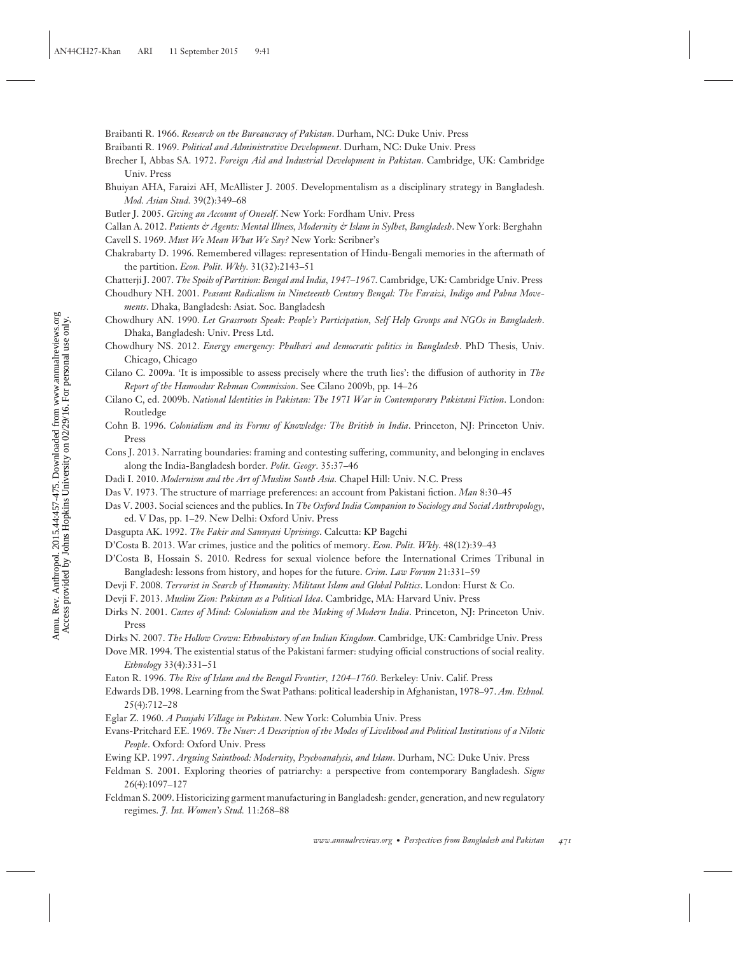- Braibanti R. 1966. *Research on the Bureaucracy of Pakistan*. Durham, NC: Duke Univ. Press
- Braibanti R. 1969. *Political and Administrative Development*. Durham, NC: Duke Univ. Press
- Brecher I, Abbas SA. 1972. *Foreign Aid and Industrial Development in Pakistan*. Cambridge, UK: Cambridge Univ. Press
- Bhuiyan AHA, Faraizi AH, McAllister J. 2005. Developmentalism as a disciplinary strategy in Bangladesh. *Mod. Asian Stud.* 39(2):349–68
- Butler J. 2005. *Giving an Account of Oneself*. New York: Fordham Univ. Press
- Callan A. 2012. *Patients & Agents: Mental Illness, Modernity & Islam in Sylhet, Bangladesh*. New York: Berghahn
- Cavell S. 1969. *Must We Mean What We Say?* New York: Scribner's
- Chakrabarty D. 1996. Remembered villages: representation of Hindu-Bengali memories in the aftermath of the partition. *Econ. Polit. Wkly.* 31(32):2143–51
- Chatterji J. 2007. *The Spoils of Partition: Bengal and India, 1947–1967*. Cambridge, UK: Cambridge Univ. Press
- Choudhury NH. 2001. *Peasant Radicalism in Nineteenth Century Bengal: The Faraizi, Indigo and Pabna Movements*. Dhaka, Bangladesh: Asiat. Soc. Bangladesh
- Chowdhury AN. 1990. *Let Grassroots Speak: People's Participation, Self Help Groups and NGOs in Bangladesh*. Dhaka, Bangladesh: Univ. Press Ltd.
- Chowdhury NS. 2012. *Energy emergency: Phulbari and democratic politics in Bangladesh*. PhD Thesis, Univ. Chicago, Chicago
- Cilano C. 2009a. 'It is impossible to assess precisely where the truth lies': the diffusion of authority in *The Report of the Hamoodur Rehman Commission*. See Cilano 2009b, pp. 14–26
- Cilano C, ed. 2009b. *National Identities in Pakistan: The 1971 War in Contemporary Pakistani Fiction*. London: Routledge
- Cohn B. 1996. *Colonialism and its Forms of Knowledge: The British in India*. Princeton, NJ: Princeton Univ. Press
- Cons J. 2013. Narrating boundaries: framing and contesting suffering, community, and belonging in enclaves along the India-Bangladesh border. *Polit. Geogr.* 35:37–46
- Dadi I. 2010. *Modernism and the Art of Muslim South Asia.* Chapel Hill: Univ. N.C. Press
- Das V. 1973. The structure of marriage preferences: an account from Pakistani fiction. *Man* 8:30–45
- Das V. 2003. Social sciences and the publics. In *The Oxford India Companion to Sociology and Social Anthropology*, ed. V Das, pp. 1–29. New Delhi: Oxford Univ. Press
- Dasgupta AK. 1992. *The Fakir and Sannyasi Uprisings*. Calcutta: KP Bagchi
- D'Costa B. 2013. War crimes, justice and the politics of memory. *Econ. Polit. Wkly.* 48(12):39–43
- D'Costa B, Hossain S. 2010. Redress for sexual violence before the International Crimes Tribunal in Bangladesh: lessons from history, and hopes for the future. *Crim. Law Forum* 21:331–59
- Devji F. 2008. *Terrorist in Search of Humanity: Militant Islam and Global Politics*. London: Hurst & Co.
- Devji F. 2013. *Muslim Zion: Pakistan as a Political Idea*. Cambridge, MA: Harvard Univ. Press
- Dirks N. 2001. *Castes of Mind: Colonialism and the Making of Modern India*. Princeton, NJ: Princeton Univ. Press
- Dirks N. 2007. *The Hollow Crown: Ethnohistory of an Indian Kingdom*. Cambridge, UK: Cambridge Univ. Press
- Dove MR. 1994. The existential status of the Pakistani farmer: studying official constructions of social reality. *Ethnology* 33(4):331–51
- Eaton R. 1996. *The Rise of Islam and the Bengal Frontier, 1204–1760*. Berkeley: Univ. Calif. Press
- Edwards DB. 1998. Learning from the Swat Pathans: political leadership in Afghanistan, 1978–97. *Am. Ethnol.* 25(4):712–28
- Eglar Z. 1960. *A Punjabi Village in Pakistan*. New York: Columbia Univ. Press
- Evans-Pritchard EE. 1969. *The Nuer: A Description of the Modes of Livelihood and Political Institutions of a Nilotic People*. Oxford: Oxford Univ. Press
- Ewing KP. 1997. *Arguing Sainthood: Modernity, Psychoanalysis, and Islam*. Durham, NC: Duke Univ. Press
- Feldman S. 2001. Exploring theories of patriarchy: a perspective from contemporary Bangladesh. *Signs* 26(4):1097–127
- Feldman S. 2009. Historicizing garment manufacturing in Bangladesh: gender, generation, and new regulatory regimes. *J. Int. Women's Stud.* 11:268–88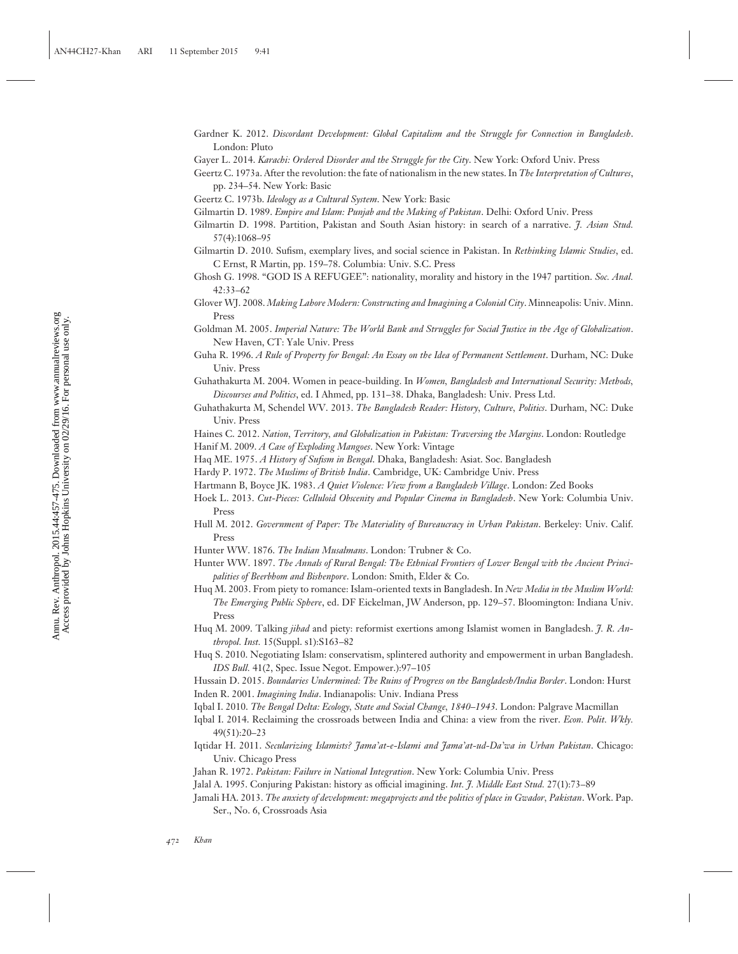- Gardner K. 2012. *Discordant Development: Global Capitalism and the Struggle for Connection in Bangladesh*. London: Pluto
- Gayer L. 2014. *Karachi: Ordered Disorder and the Struggle for the City*. New York: Oxford Univ. Press
- Geertz C. 1973a. After the revolution: the fate of nationalism in the new states. In *The Interpretation of Cultures*, pp. 234–54. New York: Basic
- Geertz C. 1973b. *Ideology as a Cultural System*. New York: Basic
- Gilmartin D. 1989. *Empire and Islam: Punjab and the Making of Pakistan*. Delhi: Oxford Univ. Press
- Gilmartin D. 1998. Partition, Pakistan and South Asian history: in search of a narrative. *J. Asian Stud.* 57(4):1068–95
- Gilmartin D. 2010. Sufism, exemplary lives, and social science in Pakistan. In *Rethinking Islamic Studies*, ed. C Ernst, R Martin, pp. 159–78. Columbia: Univ. S.C. Press
- Ghosh G. 1998. "GOD IS A REFUGEE": nationality, morality and history in the 1947 partition. *Soc. Anal.* 42:33–62
- Glover WJ. 2008. *Making Lahore Modern: Constructing and Imagining a Colonial City*. Minneapolis: Univ. Minn. Press
- Goldman M. 2005. *Imperial Nature: The World Bank and Struggles for Social Justice in the Age of Globalization*. New Haven, CT: Yale Univ. Press
- Guha R. 1996. *A Rule of Property for Bengal: An Essay on the Idea of Permanent Settlement*. Durham, NC: Duke Univ. Press
- Guhathakurta M. 2004. Women in peace-building. In *Women, Bangladesh and International Security: Methods, Discourses and Politics*, ed. I Ahmed, pp. 131–38. Dhaka, Bangladesh: Univ. Press Ltd.
- Guhathakurta M, Schendel WV. 2013. *The Bangladesh Reader: History, Culture, Politics*. Durham, NC: Duke Univ. Press
- Haines C. 2012. *Nation, Territory, and Globalization in Pakistan: Traversing the Margins*. London: Routledge
- Hanif M. 2009. *A Case of Exploding Mangoes*. New York: Vintage
- Haq ME. 1975. *A History of Sufism in Bengal*. Dhaka, Bangladesh: Asiat. Soc. Bangladesh
- Hardy P. 1972. *The Muslims of British India*. Cambridge, UK: Cambridge Univ. Press
- Hartmann B, Boyce JK. 1983. *A Quiet Violence: View from a Bangladesh Village*. London: Zed Books
- Hoek L. 2013. *Cut-Pieces: Celluloid Obscenity and Popular Cinema in Bangladesh*. New York: Columbia Univ. Press
- Hull M. 2012. *Government of Paper: The Materiality of Bureaucracy in Urban Pakistan*. Berkeley: Univ. Calif. Press
- Hunter WW. 1876. *The Indian Musalmans*. London: Trubner & Co.
- Hunter WW. 1897. *The Annals of Rural Bengal: The Ethnical Frontiers of Lower Bengal with the Ancient Principalities of Beerbhom and Bishenpore*. London: Smith, Elder & Co.
- Huq M. 2003. From piety to romance: Islam-oriented texts in Bangladesh. In *New Media in the Muslim World: The Emerging Public Sphere*, ed. DF Eickelman, JW Anderson, pp. 129–57. Bloomington: Indiana Univ. Press
- Huq M. 2009. Talking *jihad* and piety: reformist exertions among Islamist women in Bangladesh. *J. R. Anthropol. Inst.* 15(Suppl. s1):S163–82
- Huq S. 2010. Negotiating Islam: conservatism, splintered authority and empowerment in urban Bangladesh. *IDS Bull.* 41(2, Spec. Issue Negot. Empower.):97–105

Hussain D. 2015. *Boundaries Undermined: The Ruins of Progress on the Bangladesh/India Border*. London: Hurst Inden R. 2001. *Imagining India*. Indianapolis: Univ. Indiana Press

- Iqbal I. 2010. *The Bengal Delta: Ecology, State and Social Change, 1840–1943*. London: Palgrave Macmillan
- Iqbal I. 2014. Reclaiming the crossroads between India and China: a view from the river. *Econ. Polit. Wkly.* 49(51):20–23
- Iqtidar H. 2011. *Secularizing Islamists? Jama'at-e-Islami and Jama'at-ud-Da'wa in Urban Pakistan*. Chicago: Univ. Chicago Press
- Jahan R. 1972. *Pakistan: Failure in National Integration*. New York: Columbia Univ. Press
- Jalal A. 1995. Conjuring Pakistan: history as official imagining. *Int. J. Middle East Stud.* 27(1):73–89
- Jamali HA. 2013. *The anxiety of development: megaprojects and the politics of place in Gwador, Pakistan*. Work. Pap.

Ser., No. 6, Crossroads Asia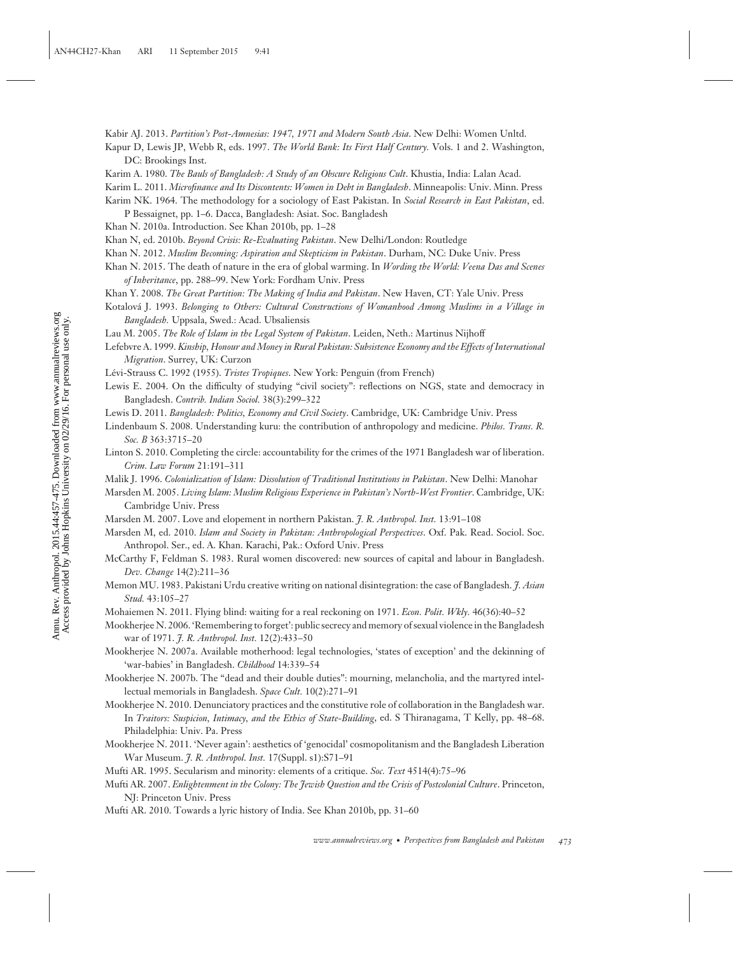Kabir AJ. 2013. *Partition's Post-Amnesias: 1947, 1971 and Modern South Asia*. New Delhi: Women Unltd.

Kapur D, Lewis JP, Webb R, eds. 1997. *The World Bank: Its First Half Century.* Vols. 1 and 2. Washington, DC: Brookings Inst.

- Karim A. 1980. *The Bauls of Bangladesh: A Study of an Obscure Religious Cult*. Khustia, India: Lalan Acad.
- Karim L. 2011. *Microfinance and Its Discontents: Women in Debt in Bangladesh*. Minneapolis: Univ. Minn. Press

Karim NK. 1964. The methodology for a sociology of East Pakistan. In *Social Research in East Pakistan*, ed.

- P Bessaignet, pp. 1–6. Dacca, Bangladesh: Asiat. Soc. Bangladesh
- Khan N. 2010a. Introduction. See Khan 2010b, pp. 1–28
- Khan N, ed. 2010b. *Beyond Crisis: Re-Evaluating Pakistan*. New Delhi/London: Routledge
- Khan N. 2012. *Muslim Becoming: Aspiration and Skepticism in Pakistan*. Durham, NC: Duke Univ. Press
- Khan N. 2015. The death of nature in the era of global warming. In *Wording the World: Veena Das and Scenes of Inheritance*, pp. 288–99. New York: Fordham Univ. Press
- Khan Y. 2008. *The Great Partition: The Making of India and Pakistan*. New Haven, CT: Yale Univ. Press
- Kotalová J. 1993. *Belonging to Others: Cultural Constructions of Womanhood Among Muslims in a Village in Bangladesh.* Uppsala, Swed.: Acad. Ubsaliensis
- Lau M. 2005. *The Role of Islam in the Legal System of Pakistan*. Leiden, Neth.: Martinus Nijhoff
- Lefebvre A. 1999. *Kinship, Honour and Money in Rural Pakistan: Subsistence Economy and the Effects of International Migration*. Surrey, UK: Curzon
- Lévi-Strauss C. 1992 (1955). *Tristes Tropiques*. New York: Penguin (from French)
- Lewis E. 2004. On the difficulty of studying "civil society": reflections on NGS, state and democracy in Bangladesh. *Contrib. Indian Sociol.* 38(3):299–322
- Lewis D. 2011. *Bangladesh: Politics, Economy and Civil Society*. Cambridge, UK: Cambridge Univ. Press
- Lindenbaum S. 2008. Understanding kuru: the contribution of anthropology and medicine. *Philos. Trans. R. Soc. B* 363:3715–20
- Linton S. 2010. Completing the circle: accountability for the crimes of the 1971 Bangladesh war of liberation. *Crim. Law Forum* 21:191–311
- Malik J. 1996. *Colonialization of Islam: Dissolution of Traditional Institutions in Pakistan*. New Delhi: Manohar
- Marsden M. 2005. *Living Islam: Muslim Religious Experience in Pakistan's North-West Frontier*. Cambridge, UK: Cambridge Univ. Press
- Marsden M. 2007. Love and elopement in northern Pakistan. *J. R. Anthropol. Inst.* 13:91–108
- Marsden M, ed. 2010. *Islam and Society in Pakistan: Anthropological Perspectives*. Oxf. Pak. Read. Sociol. Soc. Anthropol. Ser., ed. A. Khan. Karachi, Pak.: Oxford Univ. Press
- McCarthy F, Feldman S. 1983. Rural women discovered: new sources of capital and labour in Bangladesh. *Dev. Change* 14(2):211–36
- Memon MU. 1983. Pakistani Urdu creative writing on national disintegration: the case of Bangladesh. *J. Asian Stud.* 43:105–27
- Mohaiemen N. 2011. Flying blind: waiting for a real reckoning on 1971. *Econ. Polit. Wkly.* 46(36):40–52
- Mookherjee N. 2006. 'Remembering to forget': public secrecy and memory of sexual violence in the Bangladesh war of 1971. *J. R. Anthropol. Inst.* 12(2):433–50
- Mookherjee N. 2007a. Available motherhood: legal technologies, 'states of exception' and the dekinning of 'war-babies' in Bangladesh. *Childhood* 14:339–54
- Mookherjee N. 2007b. The "dead and their double duties": mourning, melancholia, and the martyred intellectual memorials in Bangladesh. *Space Cult.* 10(2):271–91
- Mookherjee N. 2010. Denunciatory practices and the constitutive role of collaboration in the Bangladesh war. In *Traitors: Suspicion, Intimacy, and the Ethics of State-Building*, ed. S Thiranagama, T Kelly, pp. 48–68. Philadelphia: Univ. Pa. Press
- Mookherjee N. 2011. 'Never again': aesthetics of 'genocidal' cosmopolitanism and the Bangladesh Liberation War Museum. *J. R. Anthropol. Inst.* 17(Suppl. s1):S71–91
- Mufti AR. 1995. Secularism and minority: elements of a critique. *Soc. Text* 4514(4):75–96
- Mufti AR. 2007. *Enlightenment in the Colony: The Jewish Question and the Crisis of Postcolonial Culture*. Princeton,
	- NJ: Princeton Univ. Press
- Mufti AR. 2010. Towards a lyric history of India. See Khan 2010b, pp. 31–60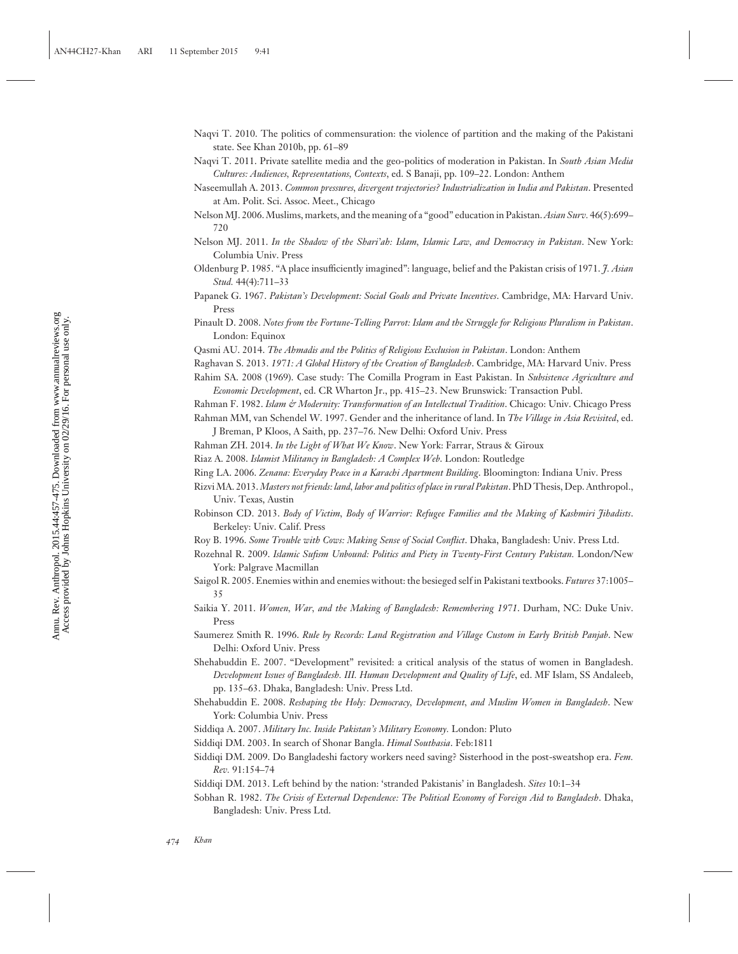- Naqvi T. 2010. The politics of commensuration: the violence of partition and the making of the Pakistani state. See Khan 2010b, pp. 61–89
- Naqvi T. 2011. Private satellite media and the geo-politics of moderation in Pakistan. In *South Asian Media Cultures: Audiences, Representations, Contexts*, ed. S Banaji, pp. 109–22. London: Anthem
- Naseemullah A. 2013. *Common pressures, divergent trajectories? Industrialization in India and Pakistan*. Presented at Am. Polit. Sci. Assoc. Meet., Chicago
- Nelson MJ. 2006. Muslims, markets, and the meaning of a "good" education in Pakistan.*Asian Surv.* 46(5):699– 720
- Nelson MJ. 2011. *In the Shadow of the Shari'ah: Islam, Islamic Law, and Democracy in Pakistan*. New York: Columbia Univ. Press
- Oldenburg P. 1985. "A place insufficiently imagined": language, belief and the Pakistan crisis of 1971. *J. Asian Stud.* 44(4):711–33
- Papanek G. 1967. *Pakistan's Development: Social Goals and Private Incentives*. Cambridge, MA: Harvard Univ. Press
- Pinault D. 2008. *Notes from the Fortune-Telling Parrot: Islam and the Struggle for Religious Pluralism in Pakistan*. London: Equinox
- Qasmi AU. 2014. *The Ahmadis and the Politics of Religious Exclusion in Pakistan*. London: Anthem
- Raghavan S. 2013. *1971: A Global History of the Creation of Bangladesh*. Cambridge, MA: Harvard Univ. Press
- Rahim SA. 2008 (1969). Case study: The Comilla Program in East Pakistan. In *Subsistence Agriculture and Economic Development*, ed. CR Wharton Jr., pp. 415–23. New Brunswick: Transaction Publ.
- Rahman F. 1982. *Islam & Modernity: Transformation of an Intellectual Tradition*. Chicago: Univ. Chicago Press

Rahman MM, van Schendel W. 1997. Gender and the inheritance of land. In *The Village in Asia Revisited*, ed.

J Breman, P Kloos, A Saith, pp. 237–76. New Delhi: Oxford Univ. Press

- Rahman ZH. 2014. *In the Light of What We Know*. New York: Farrar, Straus & Giroux
- Riaz A. 2008. *Islamist Militancy in Bangladesh: A Complex Web*. London: Routledge
- Ring LA. 2006. *Zenana: Everyday Peace in a Karachi Apartment Building*. Bloomington: Indiana Univ. Press
- Rizvi MA. 2013. *Masters not friends: land, labor and politics of place in rural Pakistan*. PhD Thesis, Dep. Anthropol., Univ. Texas, Austin
- Robinson CD. 2013. *Body of Victim, Body of Warrior: Refugee Families and the Making of Kashmiri Jihadists*. Berkeley: Univ. Calif. Press
- Roy B. 1996. *Some Trouble with Cows: Making Sense of Social Conflict*. Dhaka, Bangladesh: Univ. Press Ltd.
- Rozehnal R. 2009. *Islamic Sufism Unbound: Politics and Piety in Twenty-First Century Pakistan.* London/New York: Palgrave Macmillan
- Saigol R. 2005. Enemies within and enemies without: the besieged self in Pakistani textbooks. *Futures* 37:1005– 35
- Saikia Y. 2011. *Women, War, and the Making of Bangladesh: Remembering 1971*. Durham, NC: Duke Univ. Press
- Saumerez Smith R. 1996. *Rule by Records: Land Registration and Village Custom in Early British Panjab*. New Delhi: Oxford Univ. Press
- Shehabuddin E. 2007. "Development" revisited: a critical analysis of the status of women in Bangladesh. *Development Issues of Bangladesh. III. Human Development and Quality of Life*, ed. MF Islam, SS Andaleeb, pp. 135–63. Dhaka, Bangladesh: Univ. Press Ltd.
- Shehabuddin E. 2008. *Reshaping the Holy: Democracy, Development, and Muslim Women in Bangladesh*. New York: Columbia Univ. Press
- Siddiqa A. 2007. *Military Inc. Inside Pakistan's Military Economy.* London: Pluto
- Siddiqi DM. 2003. In search of Shonar Bangla. *Himal Southasia*. Feb:1811
- Siddiqi DM. 2009. Do Bangladeshi factory workers need saving? Sisterhood in the post-sweatshop era. *Fem. Rev.* 91:154–74
- Siddiqi DM. 2013. Left behind by the nation: 'stranded Pakistanis' in Bangladesh. *Sites* 10:1–34
- Sobhan R. 1982. *The Crisis of External Dependence: The Political Economy of Foreign Aid to Bangladesh*. Dhaka, Bangladesh: Univ. Press Ltd.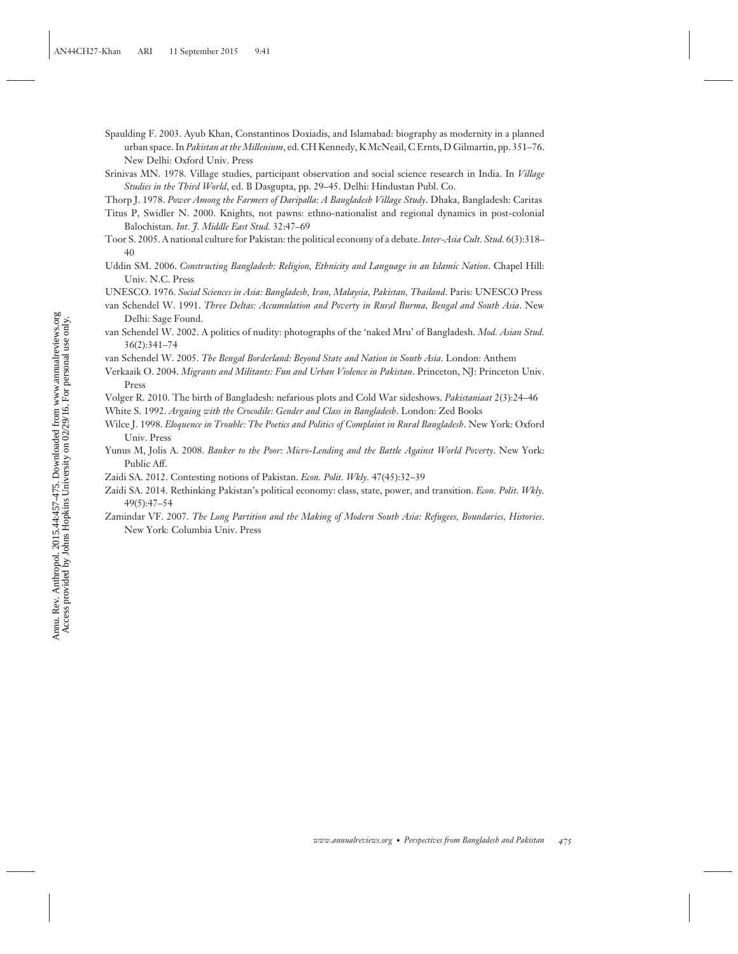- Spaulding F. 2003. Ayub Khan, Constantinos Doxiadis, and Islamabad: biography as modernity in a planned urban space. In *Pakistan at the Millenium*, ed. CH Kennedy, K McNeail, C Ernts, D Gilmartin, pp. 351–76. New Delhi: Oxford Univ. Press
- Srinivas MN. 1978. Village studies, participant observation and social science research in India. In *Village Studies in the Third World*, ed. B Dasgupta, pp. 29–45. Delhi: Hindustan Publ. Co.

Thorp J. 1978. *Power Among the Farmers of Daripalla: A Bangladesh Village Study*. Dhaka, Bangladesh: Caritas

- Titus P, Swidler N. 2000. Knights, not pawns: ethno-nationalist and regional dynamics in post-colonial Balochistan. *Int. J. Middle East Stud.* 32:47–69
- Toor S. 2005. A national culture for Pakistan: the political economy of a debate. *Inter-Asia Cult. Stud.* 6(3):318– 40
- Uddin SM. 2006. *Constructing Bangladesh: Religion, Ethnicity and Language in an Islamic Nation*. Chapel Hill: Univ. N.C. Press

UNESCO. 1976. *Social Sciences in Asia: Bangladesh, Iran, Malaysia, Pakistan, Thailand*. Paris: UNESCO Press

- van Schendel W. 1991. *Three Deltas: Accumulation and Poverty in Rural Burma, Bengal and South Asia*. New Delhi: Sage Found.
- van Schendel W. 2002. A politics of nudity: photographs of the 'naked Mru' of Bangladesh. *Mod. Asian Stud.* 36(2):341–74

van Schendel W. 2005. *The Bengal Borderland: Beyond State and Nation in South Asia*. London: Anthem

- Verkaaik O. 2004. *Migrants and Militants: Fun and Urban Violence in Pakistan*. Princeton, NJ: Princeton Univ. Press
- Volger R. 2010. The birth of Bangladesh: nefarious plots and Cold War sideshows. *Pakistaniaat* 2(3):24–46
- White S. 1992. *Arguing with the Crocodile: Gender and Class in Bangladesh*. London: Zed Books
- Wilce J. 1998. *Eloquence in Trouble: The Poetics and Politics of Complaint in Rural Bangladesh*. New York: Oxford Univ. Press
- Yunus M, Jolis A. 2008. *Banker to the Poor: Micro-Lending and the Battle Against World Poverty*. New York: Public Aff.
- Zaidi SA. 2012. Contesting notions of Pakistan. *Econ. Polit. Wkly.* 47(45):32–39
- Zaidi SA. 2014. Rethinking Pakistan's political economy: class, state, power, and transition. *Econ. Polit. Wkly.* 49(5):47–54
- Zamindar VF. 2007. *The Long Partition and the Making of Modern South Asia: Refugees, Boundaries, Histories*. New York: Columbia Univ. Press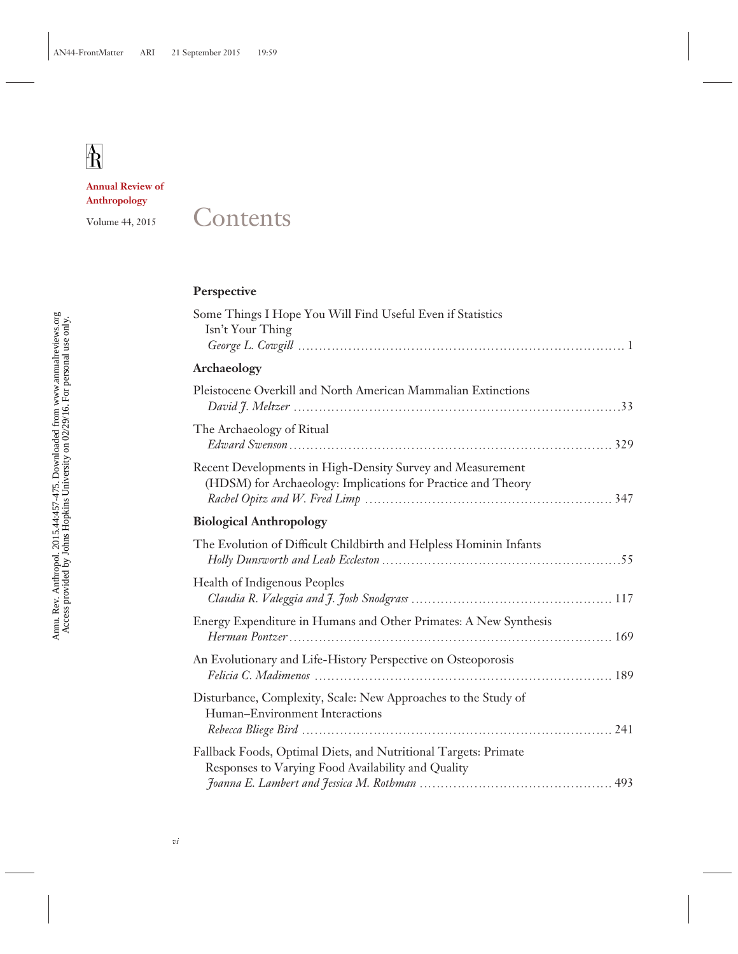#### **Annual Review of Anthropology**



# **Perspective**

| Some Things I Hope You Will Find Useful Even if Statistics<br>Isn't Your Thing                                             |  |
|----------------------------------------------------------------------------------------------------------------------------|--|
| Archaeology                                                                                                                |  |
| Pleistocene Overkill and North American Mammalian Extinctions                                                              |  |
| The Archaeology of Ritual                                                                                                  |  |
| Recent Developments in High-Density Survey and Measurement<br>(HDSM) for Archaeology: Implications for Practice and Theory |  |
| <b>Biological Anthropology</b>                                                                                             |  |
| The Evolution of Difficult Childbirth and Helpless Hominin Infants                                                         |  |
| <b>Health of Indigenous Peoples</b>                                                                                        |  |
| Energy Expenditure in Humans and Other Primates: A New Synthesis                                                           |  |
| An Evolutionary and Life-History Perspective on Osteoporosis                                                               |  |
| Disturbance, Complexity, Scale: New Approaches to the Study of<br>Human-Environment Interactions                           |  |
| Fallback Foods, Optimal Diets, and Nutritional Targets: Primate<br>Responses to Varying Food Availability and Quality      |  |
|                                                                                                                            |  |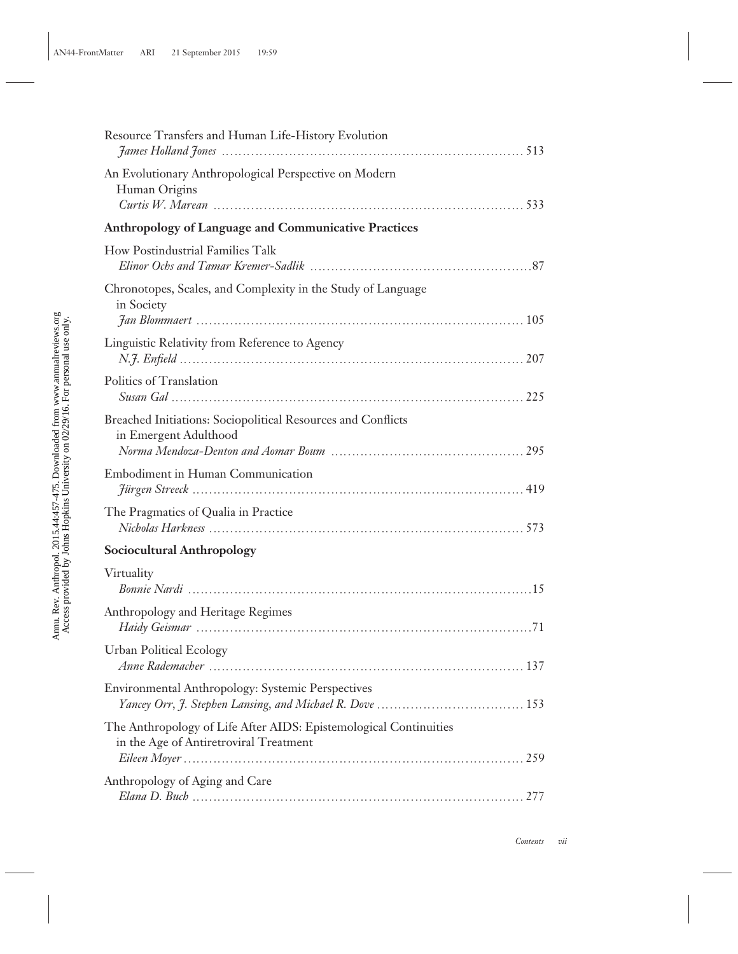| Resource Transfers and Human Life-History Evolution                                                         |
|-------------------------------------------------------------------------------------------------------------|
| An Evolutionary Anthropological Perspective on Modern<br>Human Origins                                      |
| <b>Anthropology of Language and Communicative Practices</b>                                                 |
| How Postindustrial Families Talk                                                                            |
| Chronotopes, Scales, and Complexity in the Study of Language<br>in Society                                  |
| Linguistic Relativity from Reference to Agency                                                              |
| Politics of Translation                                                                                     |
| Breached Initiations: Sociopolitical Resources and Conflicts<br>in Emergent Adulthood                       |
| Embodiment in Human Communication                                                                           |
| The Pragmatics of Qualia in Practice                                                                        |
| <b>Sociocultural Anthropology</b>                                                                           |
| Virtuality                                                                                                  |
| Anthropology and Heritage Regimes                                                                           |
| <b>Urban Political Ecology</b><br>137<br>Anne Rademacher                                                    |
| Environmental Anthropology: Systemic Perspectives                                                           |
| The Anthropology of Life After AIDS: Epistemological Continuities<br>in the Age of Antiretroviral Treatment |
|                                                                                                             |
| Anthropology of Aging and Care                                                                              |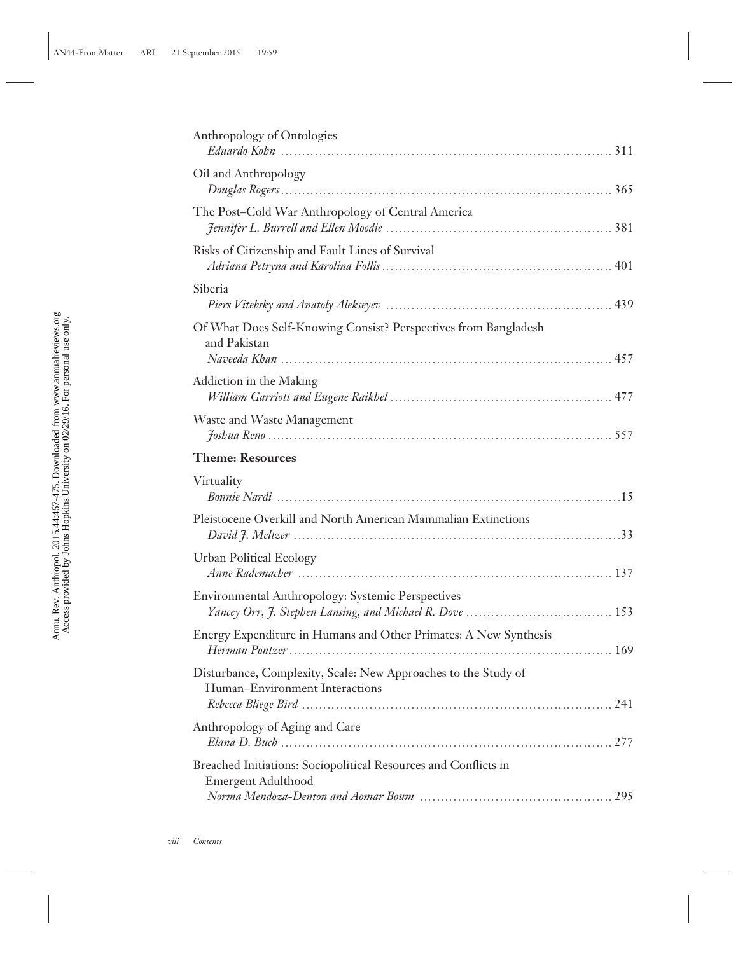| Anthropology of Ontologies                                                                       |
|--------------------------------------------------------------------------------------------------|
| Oil and Anthropology                                                                             |
| The Post-Cold War Anthropology of Central America                                                |
| Risks of Citizenship and Fault Lines of Survival                                                 |
| Siberia                                                                                          |
| Of What Does Self-Knowing Consist? Perspectives from Bangladesh<br>and Pakistan                  |
| Addiction in the Making                                                                          |
| Waste and Waste Management                                                                       |
| <b>Theme: Resources</b>                                                                          |
|                                                                                                  |
| Virtuality                                                                                       |
| Pleistocene Overkill and North American Mammalian Extinctions                                    |
| <b>Urban Political Ecology</b>                                                                   |
| <b>Environmental Anthropology: Systemic Perspectives</b>                                         |
| Energy Expenditure in Humans and Other Primates: A New Synthesis                                 |
| Disturbance, Complexity, Scale: New Approaches to the Study of<br>Human-Environment Interactions |
| Anthropology of Aging and Care                                                                   |